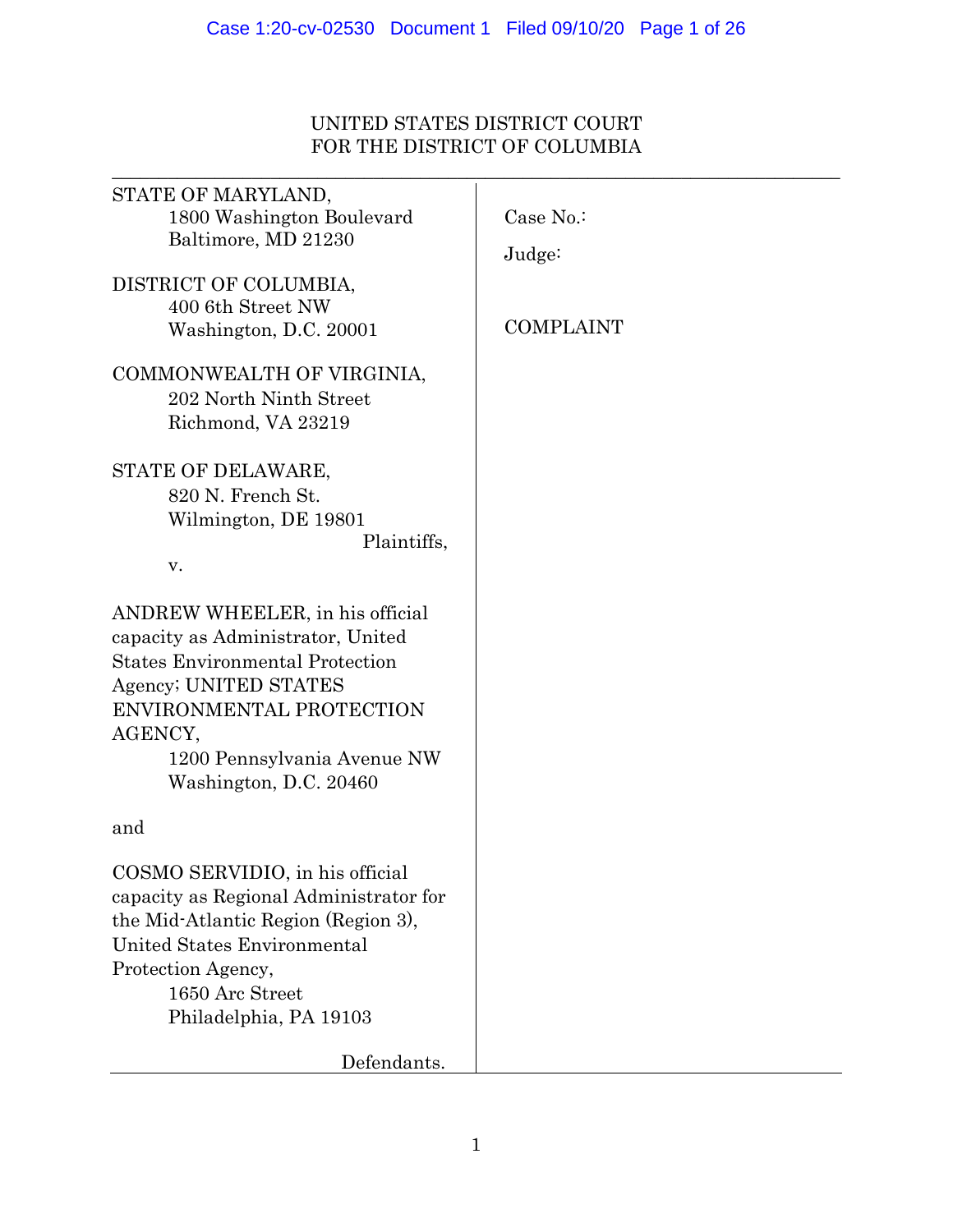# UNITED STATES DISTRICT COURT FOR THE DISTRICT OF COLUMBIA

| STATE OF MARYLAND,<br>1800 Washington Boulevard<br>Baltimore, MD 21230                                                                                                                                                                  | Case No.:<br>Judge: |
|-----------------------------------------------------------------------------------------------------------------------------------------------------------------------------------------------------------------------------------------|---------------------|
| DISTRICT OF COLUMBIA,<br>400 6th Street NW<br>Washington, D.C. 20001                                                                                                                                                                    | <b>COMPLAINT</b>    |
| COMMONWEALTH OF VIRGINIA,<br>202 North Ninth Street<br>Richmond, VA 23219                                                                                                                                                               |                     |
| STATE OF DELAWARE,<br>820 N. French St.<br>Wilmington, DE 19801<br>Plaintiffs,<br>v.                                                                                                                                                    |                     |
| ANDREW WHEELER, in his official<br>capacity as Administrator, United<br><b>States Environmental Protection</b><br>Agency; UNITED STATES<br>ENVIRONMENTAL PROTECTION<br>AGENCY,<br>1200 Pennsylvania Avenue NW<br>Washington, D.C. 20460 |                     |
| and                                                                                                                                                                                                                                     |                     |
| COSMO SERVIDIO, in his official<br>capacity as Regional Administrator for<br>the Mid-Atlantic Region (Region 3),<br><b>United States Environmental</b><br>Protection Agency,<br>1650 Arc Street<br>Philadelphia, PA 19103               |                     |
| Defendants.                                                                                                                                                                                                                             |                     |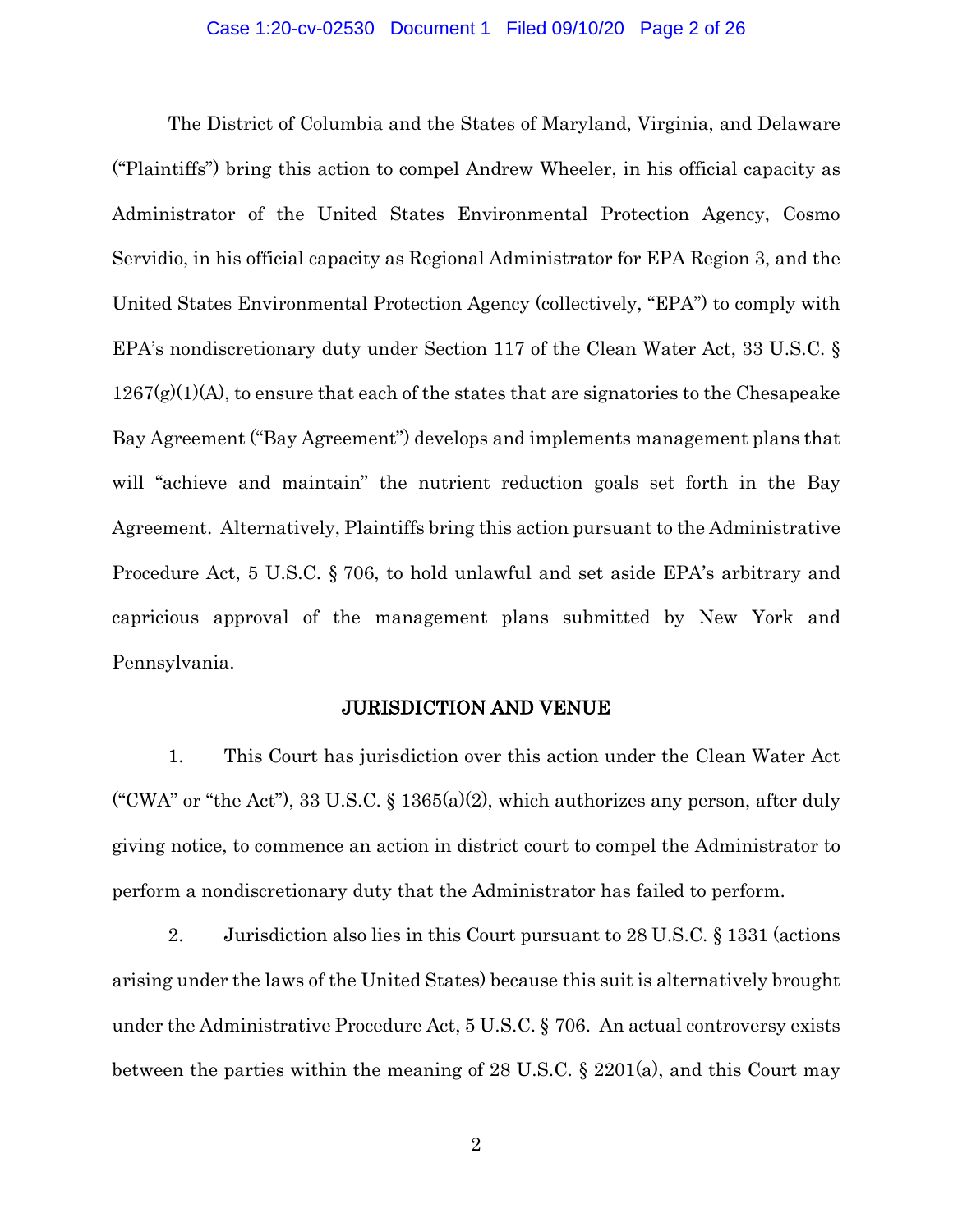### Case 1:20-cv-02530 Document 1 Filed 09/10/20 Page 2 of 26

The District of Columbia and the States of Maryland, Virginia, and Delaware ("Plaintiffs") bring this action to compel Andrew Wheeler, in his official capacity as Administrator of the United States Environmental Protection Agency, Cosmo Servidio, in his official capacity as Regional Administrator for EPA Region 3, and the United States Environmental Protection Agency (collectively, "EPA") to comply with EPA's nondiscretionary duty under Section 117 of the Clean Water Act, 33 U.S.C. §  $1267(g)(1)(A)$ , to ensure that each of the states that are signatories to the Chesapeake Bay Agreement ("Bay Agreement") develops and implements management plans that will "achieve and maintain" the nutrient reduction goals set forth in the Bay Agreement. Alternatively, Plaintiffs bring this action pursuant to the Administrative Procedure Act, 5 U.S.C. § 706, to hold unlawful and set aside EPA's arbitrary and capricious approval of the management plans submitted by New York and Pennsylvania.

### JURISDICTION AND VENUE

1. This Court has jurisdiction over this action under the Clean Water Act ("CWA" or "the Act"), 33 U.S.C. § 1365(a)(2), which authorizes any person, after duly giving notice, to commence an action in district court to compel the Administrator to perform a nondiscretionary duty that the Administrator has failed to perform.

2. Jurisdiction also lies in this Court pursuant to 28 U.S.C. § 1331 (actions arising under the laws of the United States) because this suit is alternatively brought under the Administrative Procedure Act, 5 U.S.C. § 706. An actual controversy exists between the parties within the meaning of 28 U.S.C. § 2201(a), and this Court may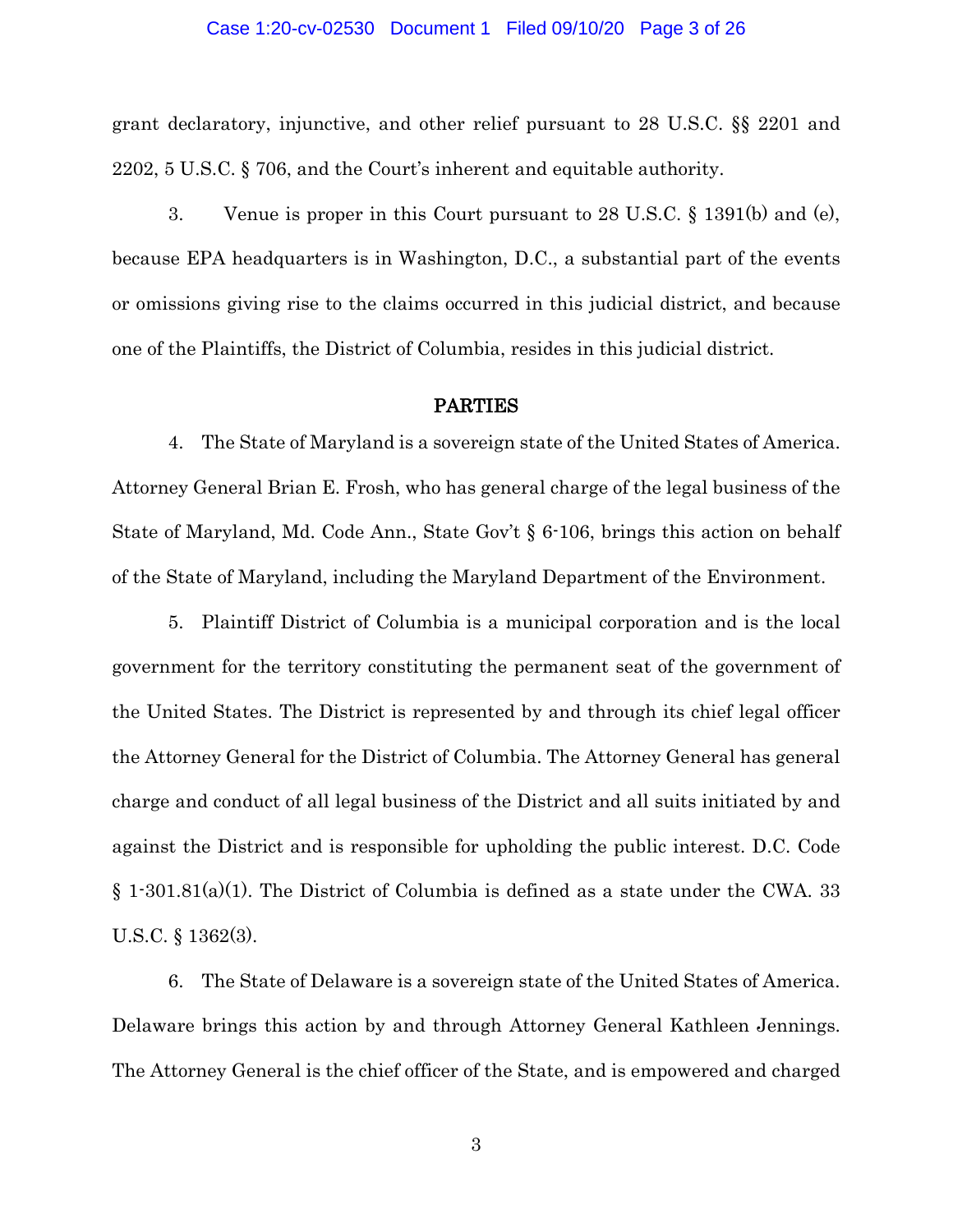#### Case 1:20-cv-02530 Document 1 Filed 09/10/20 Page 3 of 26

grant declaratory, injunctive, and other relief pursuant to 28 U.S.C. §§ 2201 and 2202, 5 U.S.C. § 706, and the Court's inherent and equitable authority.

3. Venue is proper in this Court pursuant to 28 U.S.C. § 1391(b) and (e), because EPA headquarters is in Washington, D.C., a substantial part of the events or omissions giving rise to the claims occurred in this judicial district, and because one of the Plaintiffs, the District of Columbia, resides in this judicial district.

### PARTIES

4. The State of Maryland is a sovereign state of the United States of America. Attorney General Brian E. Frosh, who has general charge of the legal business of the State of Maryland, Md. Code Ann., State Gov't § 6-106, brings this action on behalf of the State of Maryland, including the Maryland Department of the Environment.

5. Plaintiff District of Columbia is a municipal corporation and is the local government for the territory constituting the permanent seat of the government of the United States. The District is represented by and through its chief legal officer the Attorney General for the District of Columbia. The Attorney General has general charge and conduct of all legal business of the District and all suits initiated by and against the District and is responsible for upholding the public interest. D.C. Code  $\S 1\text{-}301.81(a)(1)$ . The District of Columbia is defined as a state under the CWA. 33 U.S.C. § 1362(3).

6. The State of Delaware is a sovereign state of the United States of America. Delaware brings this action by and through Attorney General Kathleen Jennings. The Attorney General is the chief officer of the State, and is empowered and charged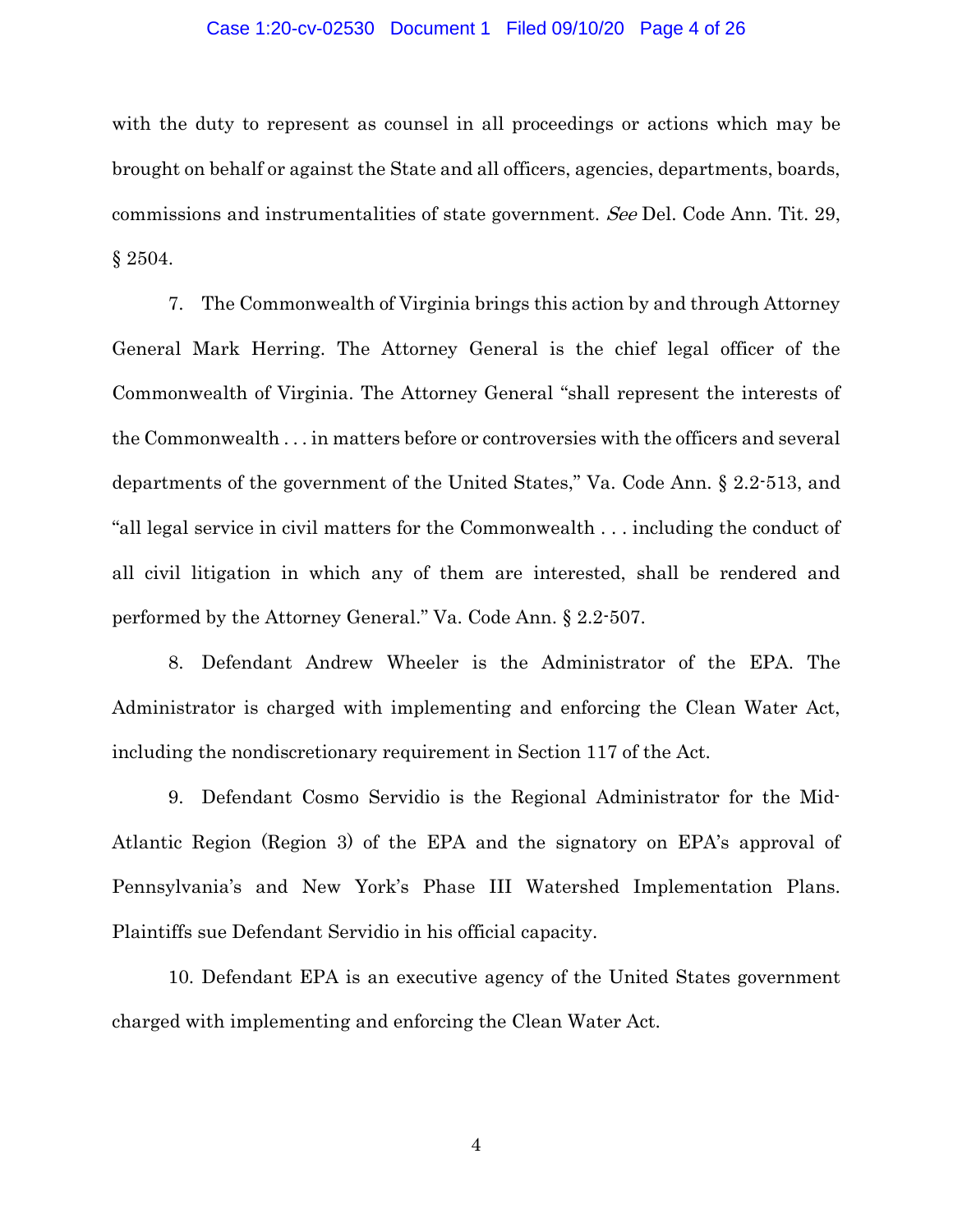### Case 1:20-cv-02530 Document 1 Filed 09/10/20 Page 4 of 26

with the duty to represent as counsel in all proceedings or actions which may be brought on behalf or against the State and all officers, agencies, departments, boards, commissions and instrumentalities of state government. See Del. Code Ann. Tit. 29, § 2504.

7. The Commonwealth of Virginia brings this action by and through Attorney General Mark Herring. The Attorney General is the chief legal officer of the Commonwealth of Virginia. The Attorney General "shall represent the interests of the Commonwealth . . . in matters before or controversies with the officers and several departments of the government of the United States," Va. Code Ann. § 2.2-513, and "all legal service in civil matters for the Commonwealth . . . including the conduct of all civil litigation in which any of them are interested, shall be rendered and performed by the Attorney General." Va. Code Ann. § 2.2-507.

8. Defendant Andrew Wheeler is the Administrator of the EPA. The Administrator is charged with implementing and enforcing the Clean Water Act, including the nondiscretionary requirement in Section 117 of the Act.

9. Defendant Cosmo Servidio is the Regional Administrator for the Mid-Atlantic Region (Region 3) of the EPA and the signatory on EPA's approval of Pennsylvania's and New York's Phase III Watershed Implementation Plans. Plaintiffs sue Defendant Servidio in his official capacity.

10. Defendant EPA is an executive agency of the United States government charged with implementing and enforcing the Clean Water Act.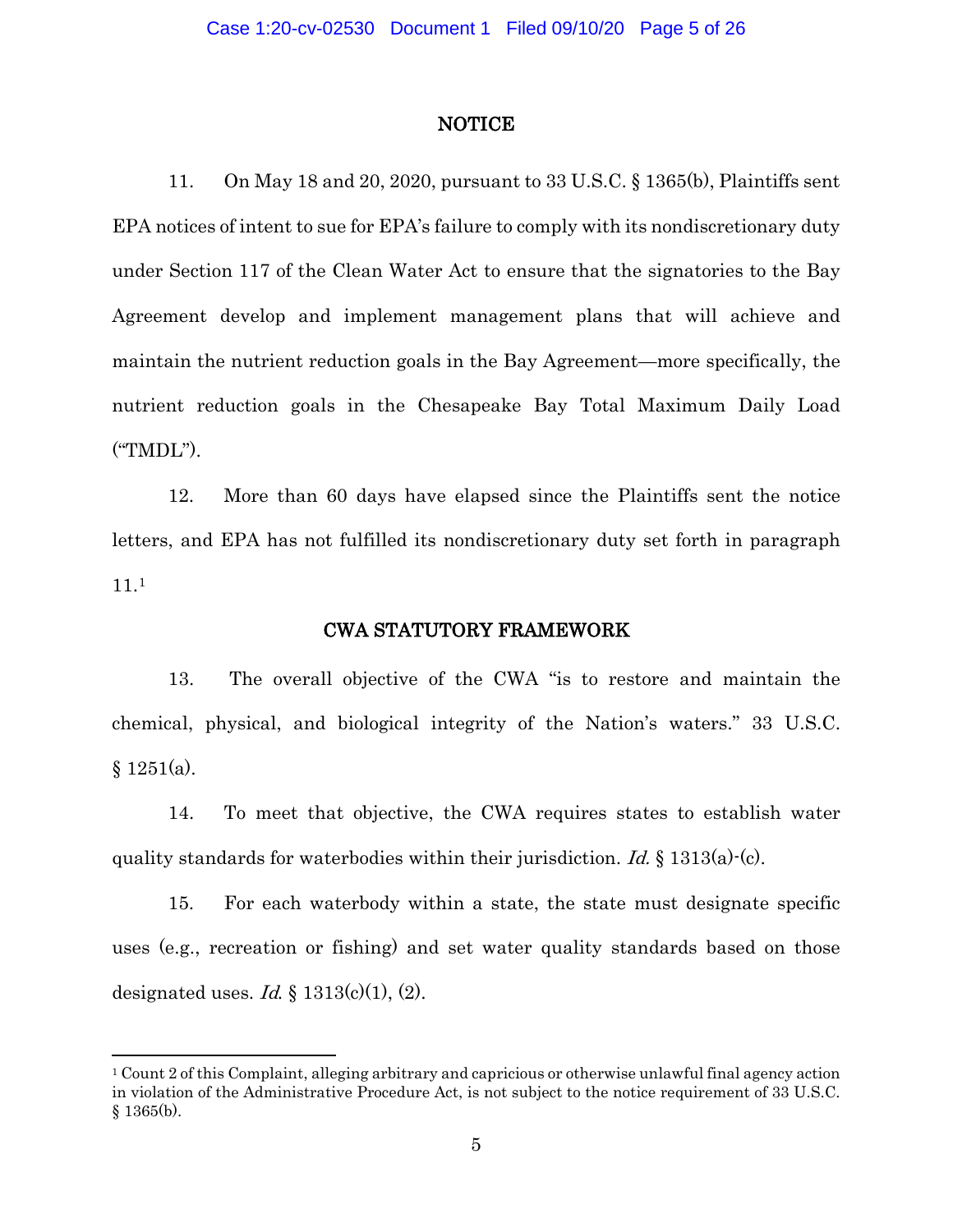### NOTICE

11. On May 18 and 20, 2020, pursuant to 33 U.S.C. § 1365(b), Plaintiffs sent EPA notices of intent to sue for EPA's failure to comply with its nondiscretionary duty under Section 117 of the Clean Water Act to ensure that the signatories to the Bay Agreement develop and implement management plans that will achieve and maintain the nutrient reduction goals in the Bay Agreement—more specifically, the nutrient reduction goals in the Chesapeake Bay Total Maximum Daily Load ("TMDL").

12. More than 60 days have elapsed since the Plaintiffs sent the notice letters, and EPA has not fulfilled its nondiscretionary duty set forth in paragraph 11.[1](#page-4-0)

### CWA STATUTORY FRAMEWORK

13. The overall objective of the CWA "is to restore and maintain the chemical, physical, and biological integrity of the Nation's waters." 33 U.S.C.  $§ 1251(a).$ 

14. To meet that objective, the CWA requires states to establish water quality standards for waterbodies within their jurisdiction. Id.  $\S$  1313(a) $\cdot$ (c).

15. For each waterbody within a state, the state must designate specific uses (e.g., recreation or fishing) and set water quality standards based on those designated uses. Id.  $\S$  1313(c)(1), (2).

<span id="page-4-0"></span><sup>1</sup> Count 2 of this Complaint, alleging arbitrary and capricious or otherwise unlawful final agency action in violation of the Administrative Procedure Act, is not subject to the notice requirement of 33 U.S.C.  $§ 1365(b).$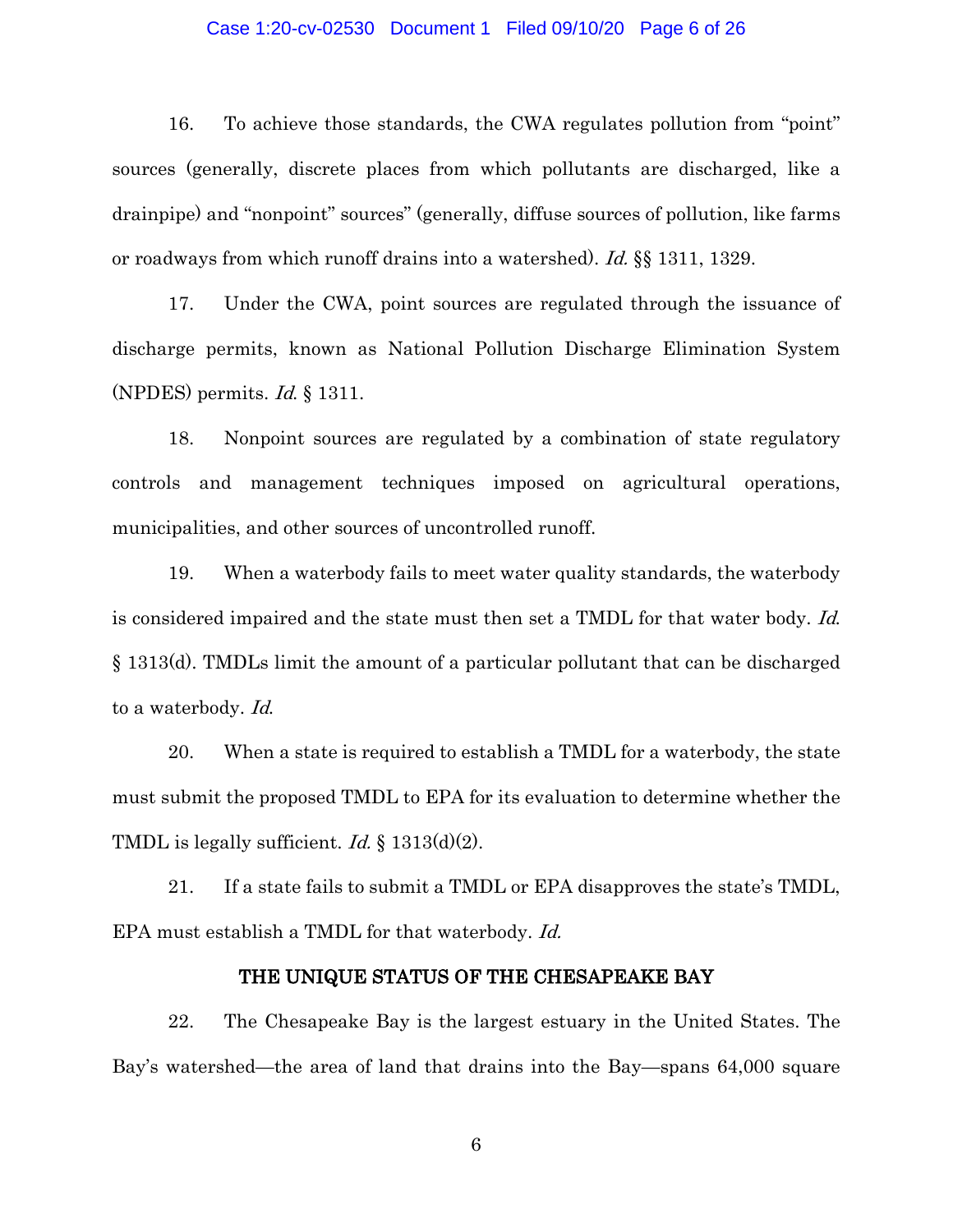### Case 1:20-cv-02530 Document 1 Filed 09/10/20 Page 6 of 26

16. To achieve those standards, the CWA regulates pollution from "point" sources (generally, discrete places from which pollutants are discharged, like a drainpipe) and "nonpoint" sources" (generally, diffuse sources of pollution, like farms or roadways from which runoff drains into a watershed). Id. §§ 1311, 1329.

17. Under the CWA, point sources are regulated through the issuance of discharge permits, known as National Pollution Discharge Elimination System (NPDES) permits. Id. § 1311.

18. Nonpoint sources are regulated by a combination of state regulatory controls and management techniques imposed on agricultural operations, municipalities, and other sources of uncontrolled runoff.

19. When a waterbody fails to meet water quality standards, the waterbody is considered impaired and the state must then set a TMDL for that water body. Id. § 1313(d). TMDLs limit the amount of a particular pollutant that can be discharged to a waterbody. Id.

20. When a state is required to establish a TMDL for a waterbody, the state must submit the proposed TMDL to EPA for its evaluation to determine whether the TMDL is legally sufficient. *Id.*  $\S$  1313(d)(2).

21. If a state fails to submit a TMDL or EPA disapproves the state's TMDL, EPA must establish a TMDL for that waterbody. Id.

### THE UNIQUE STATUS OF THE CHESAPEAKE BAY

22. The Chesapeake Bay is the largest estuary in the United States. The Bay's watershed—the area of land that drains into the Bay—spans 64,000 square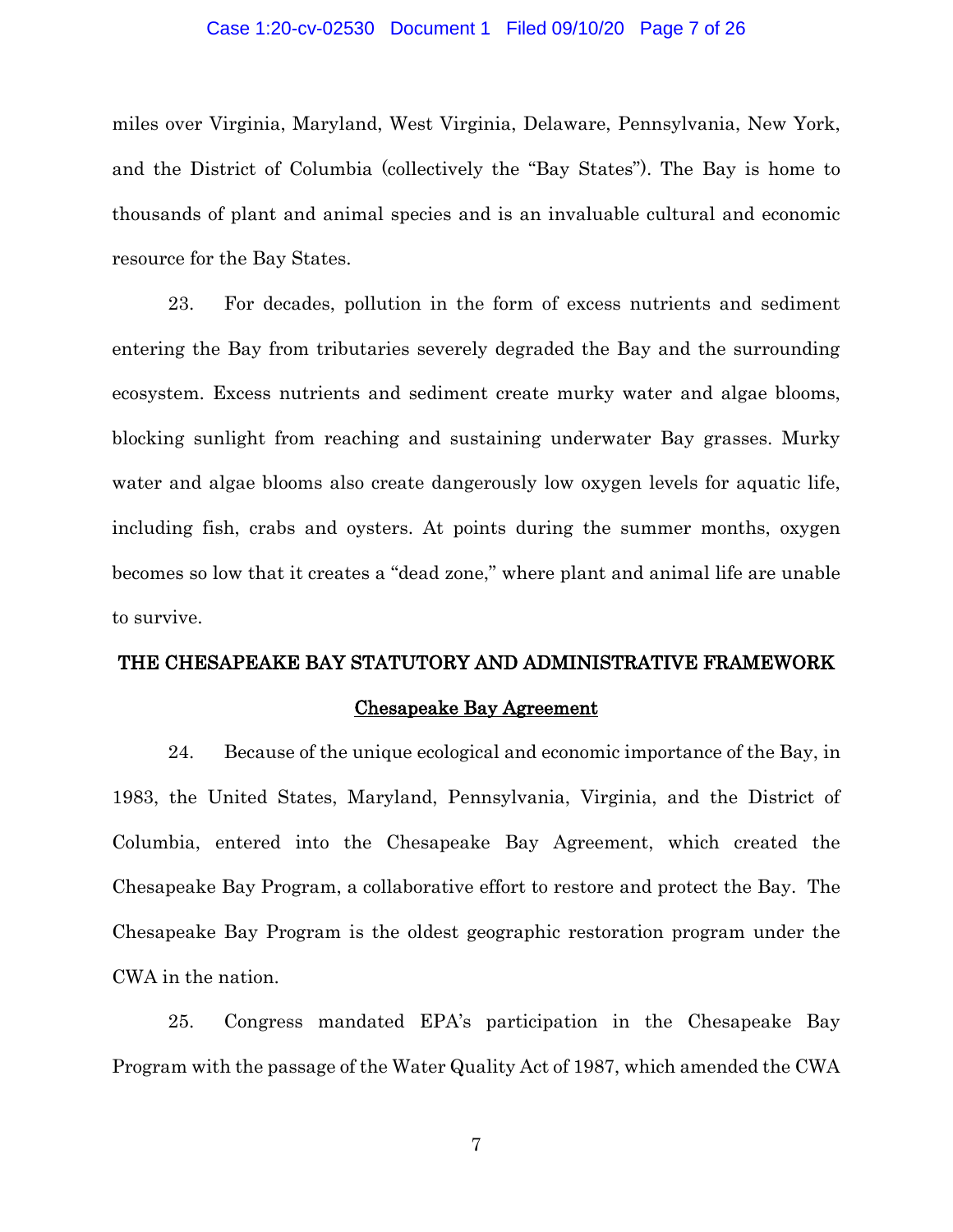### Case 1:20-cv-02530 Document 1 Filed 09/10/20 Page 7 of 26

miles over Virginia, Maryland, West Virginia, Delaware, Pennsylvania, New York, and the District of Columbia (collectively the "Bay States"). The Bay is home to thousands of plant and animal species and is an invaluable cultural and economic resource for the Bay States.

23. For decades, pollution in the form of excess nutrients and sediment entering the Bay from tributaries severely degraded the Bay and the surrounding ecosystem. Excess nutrients and sediment create murky water and algae blooms, blocking sunlight from reaching and sustaining underwater Bay grasses. Murky water and algae blooms also create dangerously low oxygen levels for aquatic life, including fish, crabs and oysters. At points during the summer months, oxygen becomes so low that it creates a "dead zone," where plant and animal life are unable to survive.

# THE CHESAPEAKE BAY STATUTORY AND ADMINISTRATIVE FRAMEWORK

### Chesapeake Bay Agreement

24. Because of the unique ecological and economic importance of the Bay, in 1983, the United States, Maryland, Pennsylvania, Virginia, and the District of Columbia, entered into the Chesapeake Bay Agreement, which created the Chesapeake Bay Program, a collaborative effort to restore and protect the Bay. The Chesapeake Bay Program is the oldest geographic restoration program under the CWA in the nation.

25. Congress mandated EPA's participation in the Chesapeake Bay Program with the passage of the Water Quality Act of 1987, which amended the CWA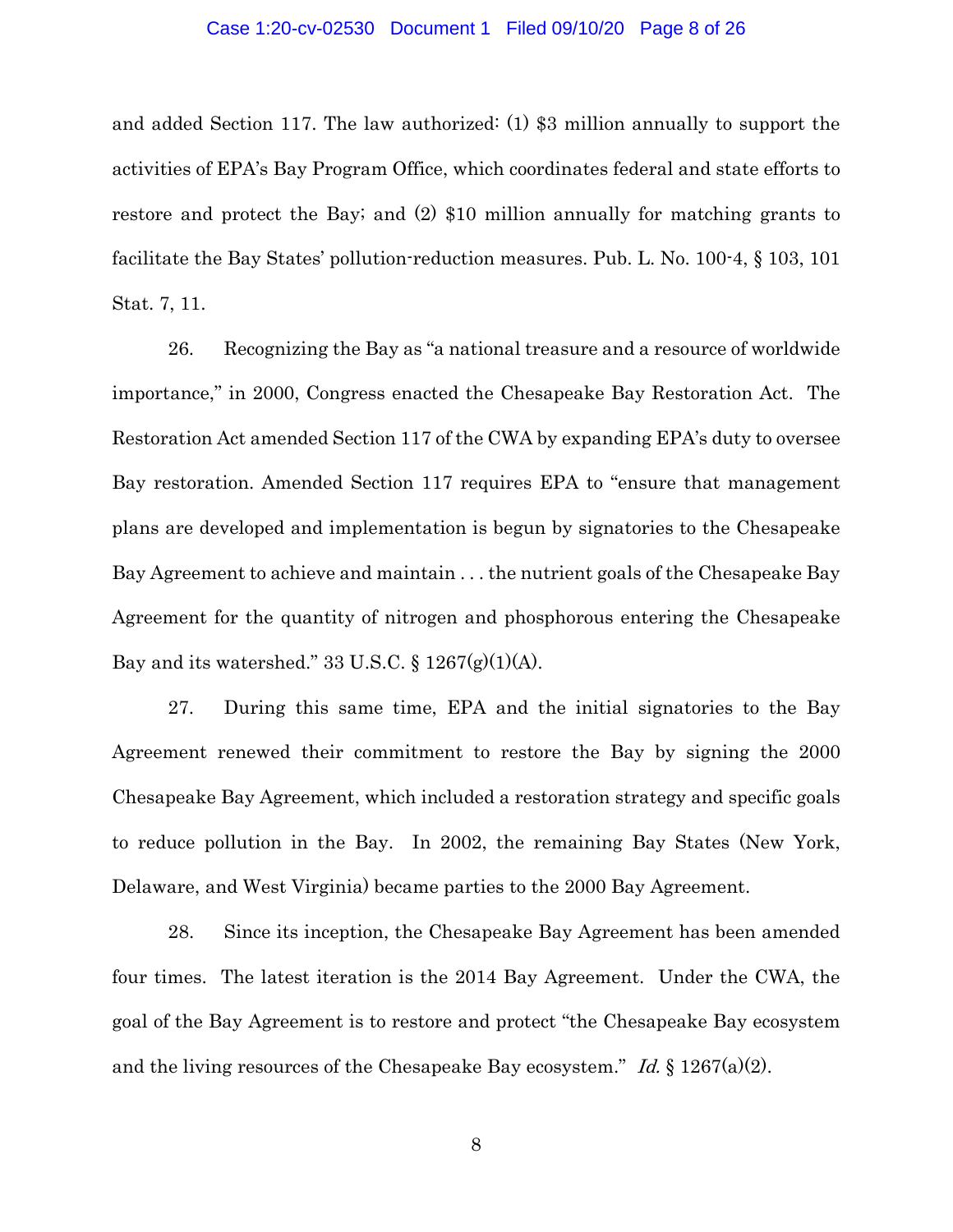#### Case 1:20-cv-02530 Document 1 Filed 09/10/20 Page 8 of 26

and added Section 117. The law authorized: (1) \$3 million annually to support the activities of EPA's Bay Program Office, which coordinates federal and state efforts to restore and protect the Bay; and (2) \$10 million annually for matching grants to facilitate the Bay States' pollution-reduction measures. Pub. L. No. 100-4, § 103, 101 Stat. 7, 11.

26. Recognizing the Bay as "a national treasure and a resource of worldwide importance," in 2000, Congress enacted the Chesapeake Bay Restoration Act. The Restoration Act amended Section 117 of the CWA by expanding EPA's duty to oversee Bay restoration. Amended Section 117 requires EPA to "ensure that management plans are developed and implementation is begun by signatories to the Chesapeake Bay Agreement to achieve and maintain . . . the nutrient goals of the Chesapeake Bay Agreement for the quantity of nitrogen and phosphorous entering the Chesapeake Bay and its watershed." 33 U.S.C.  $\S 1267(g)(1)(A)$ .

27. During this same time, EPA and the initial signatories to the Bay Agreement renewed their commitment to restore the Bay by signing the 2000 Chesapeake Bay Agreement, which included a restoration strategy and specific goals to reduce pollution in the Bay. In 2002, the remaining Bay States (New York, Delaware, and West Virginia) became parties to the 2000 Bay Agreement.

28. Since its inception, the Chesapeake Bay Agreement has been amended four times. The latest iteration is the 2014 Bay Agreement. Under the CWA, the goal of the Bay Agreement is to restore and protect "the Chesapeake Bay ecosystem and the living resources of the Chesapeake Bay ecosystem." Id.  $\S 1267(a)(2)$ .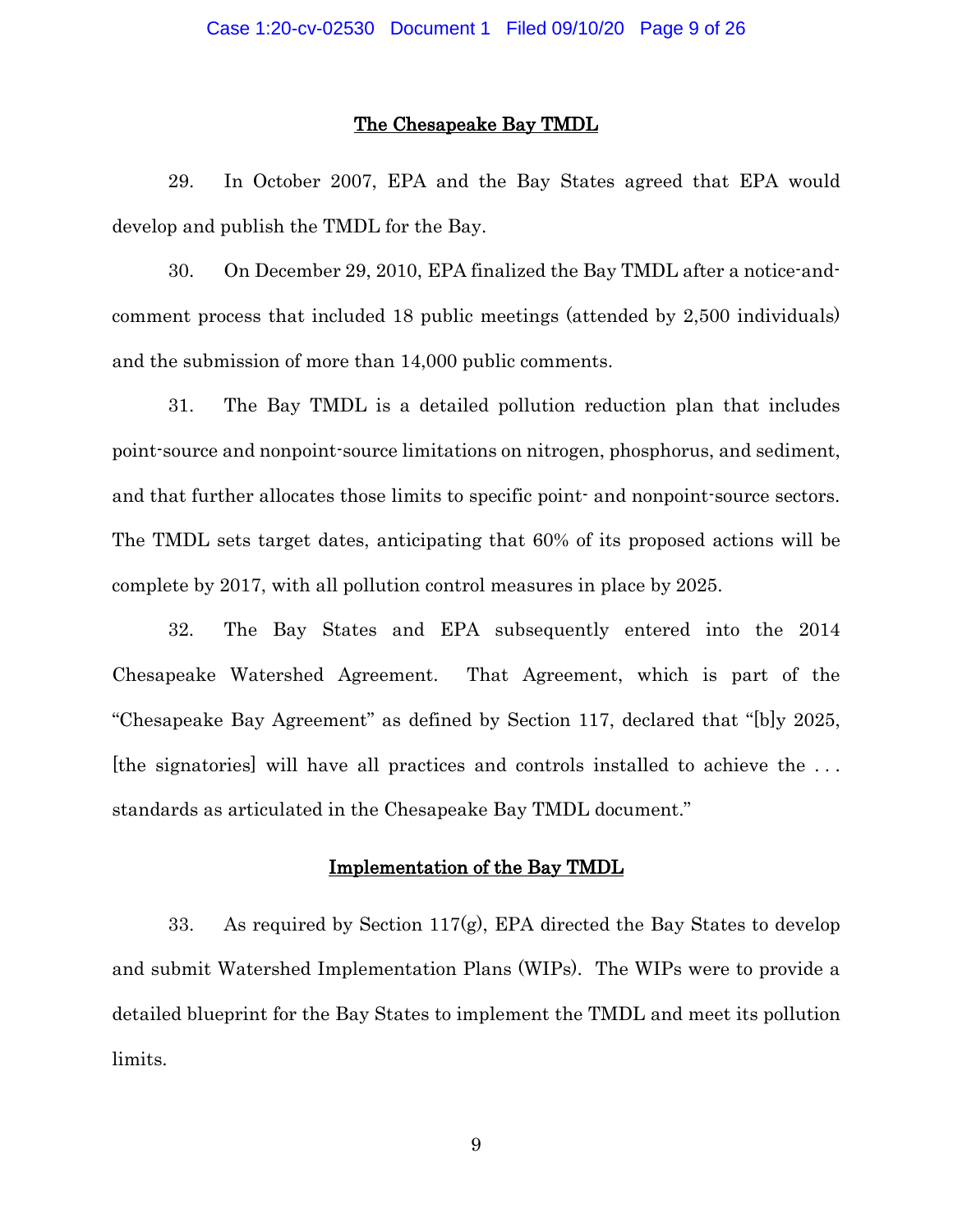#### The Chesapeake Bay TMDL

29. In October 2007, EPA and the Bay States agreed that EPA would develop and publish the TMDL for the Bay.

30. On December 29, 2010, EPA finalized the Bay TMDL after a notice-andcomment process that included 18 public meetings (attended by 2,500 individuals) and the submission of more than 14,000 public comments.

31. The Bay TMDL is a detailed pollution reduction plan that includes point-source and nonpoint-source limitations on nitrogen, phosphorus, and sediment, and that further allocates those limits to specific point- and nonpoint-source sectors. The TMDL sets target dates, anticipating that 60% of its proposed actions will be complete by 2017, with all pollution control measures in place by 2025.

32. The Bay States and EPA subsequently entered into the 2014 Chesapeake Watershed Agreement. That Agreement, which is part of the "Chesapeake Bay Agreement" as defined by Section 117, declared that "[b]y 2025, [the signatories] will have all practices and controls installed to achieve the . . . standards as articulated in the Chesapeake Bay TMDL document."

### Implementation of the Bay TMDL

33. As required by Section 117 $(g)$ , EPA directed the Bay States to develop and submit Watershed Implementation Plans (WIPs). The WIPs were to provide a detailed blueprint for the Bay States to implement the TMDL and meet its pollution limits.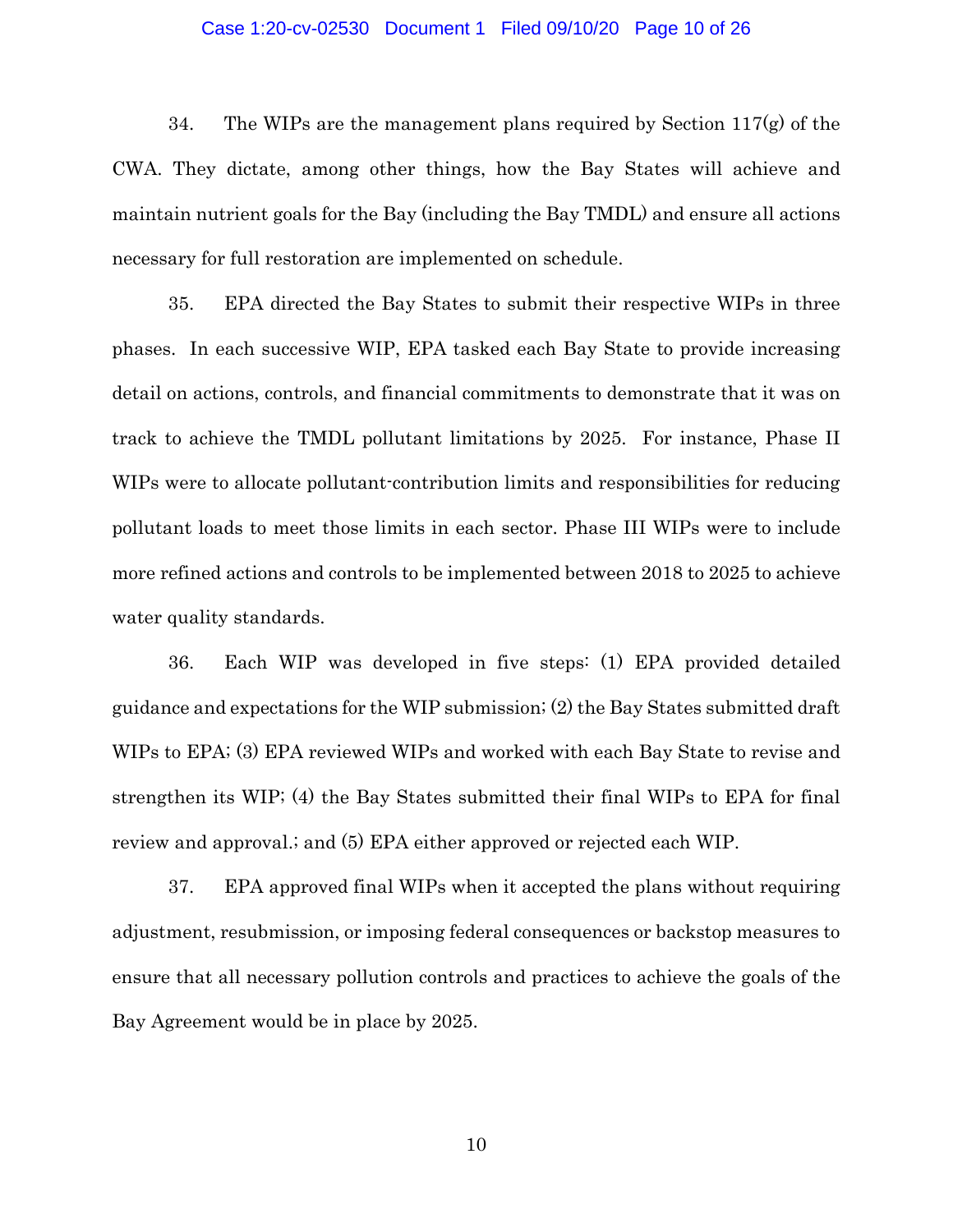#### Case 1:20-cv-02530 Document 1 Filed 09/10/20 Page 10 of 26

34. The WIPs are the management plans required by Section  $117(g)$  of the CWA. They dictate, among other things, how the Bay States will achieve and maintain nutrient goals for the Bay (including the Bay TMDL) and ensure all actions necessary for full restoration are implemented on schedule.

35. EPA directed the Bay States to submit their respective WIPs in three phases. In each successive WIP, EPA tasked each Bay State to provide increasing detail on actions, controls, and financial commitments to demonstrate that it was on track to achieve the TMDL pollutant limitations by 2025. For instance, Phase II WIPs were to allocate pollutant-contribution limits and responsibilities for reducing pollutant loads to meet those limits in each sector. Phase III WIPs were to include more refined actions and controls to be implemented between 2018 to 2025 to achieve water quality standards.

36. Each WIP was developed in five steps: (1) EPA provided detailed guidance and expectations for the WIP submission; (2) the Bay States submitted draft WIPs to EPA; (3) EPA reviewed WIPs and worked with each Bay State to revise and strengthen its WIP; (4) the Bay States submitted their final WIPs to EPA for final review and approval.; and (5) EPA either approved or rejected each WIP.

37. EPA approved final WIPs when it accepted the plans without requiring adjustment, resubmission, or imposing federal consequences or backstop measures to ensure that all necessary pollution controls and practices to achieve the goals of the Bay Agreement would be in place by 2025.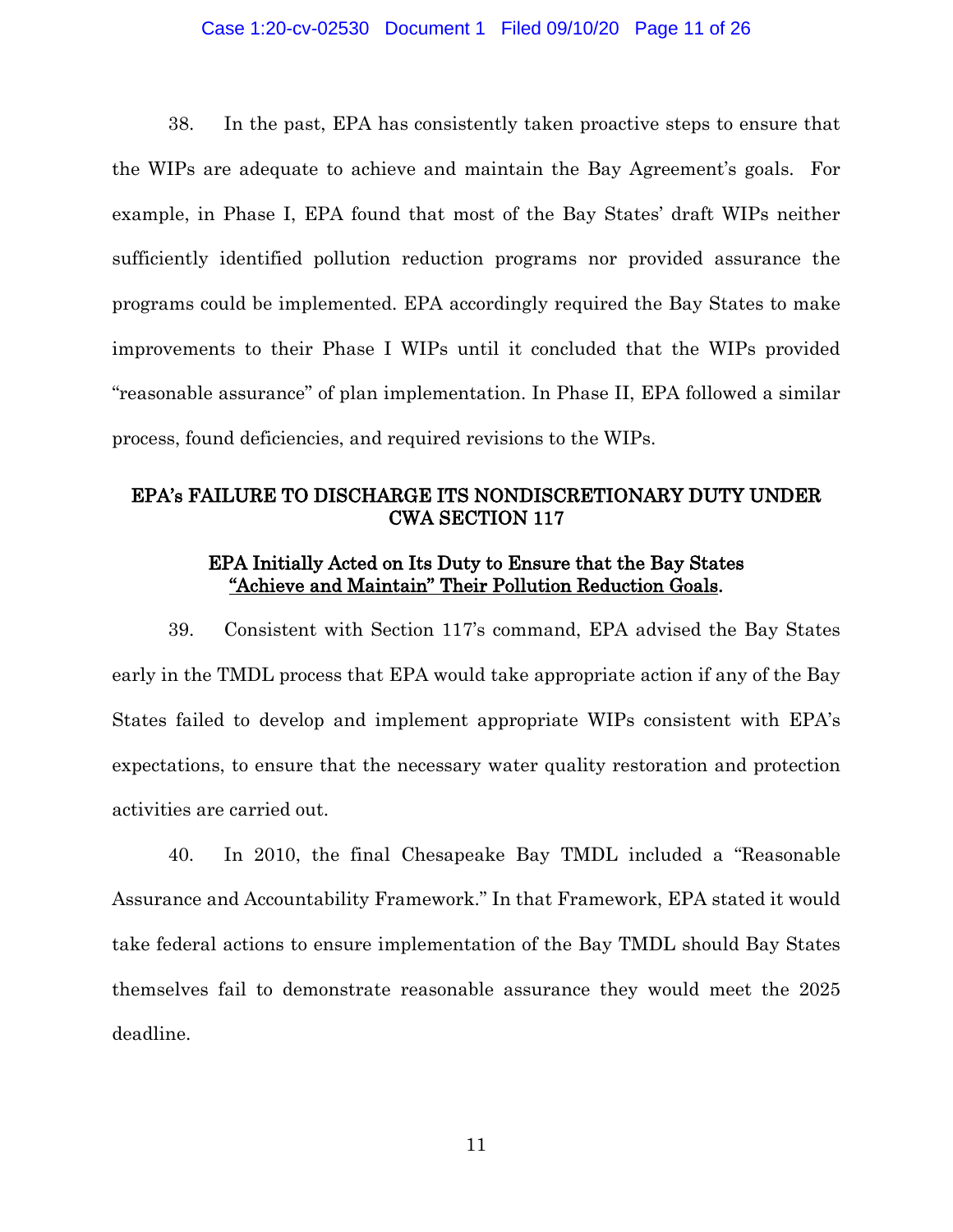### Case 1:20-cv-02530 Document 1 Filed 09/10/20 Page 11 of 26

38. In the past, EPA has consistently taken proactive steps to ensure that the WIPs are adequate to achieve and maintain the Bay Agreement's goals. For example, in Phase I, EPA found that most of the Bay States' draft WIPs neither sufficiently identified pollution reduction programs nor provided assurance the programs could be implemented. EPA accordingly required the Bay States to make improvements to their Phase I WIPs until it concluded that the WIPs provided "reasonable assurance" of plan implementation. In Phase II, EPA followed a similar process, found deficiencies, and required revisions to the WIPs.

# EPA's FAILURE TO DISCHARGE ITS NONDISCRETIONARY DUTY UNDER CWA SECTION 117

### EPA Initially Acted on Its Duty to Ensure that the Bay States "Achieve and Maintain" Their Pollution Reduction Goals.

39. Consistent with Section 117's command, EPA advised the Bay States early in the TMDL process that EPA would take appropriate action if any of the Bay States failed to develop and implement appropriate WIPs consistent with EPA's expectations, to ensure that the necessary water quality restoration and protection activities are carried out.

40. In 2010, the final Chesapeake Bay TMDL included a "Reasonable Assurance and Accountability Framework." In that Framework, EPA stated it would take federal actions to ensure implementation of the Bay TMDL should Bay States themselves fail to demonstrate reasonable assurance they would meet the 2025 deadline.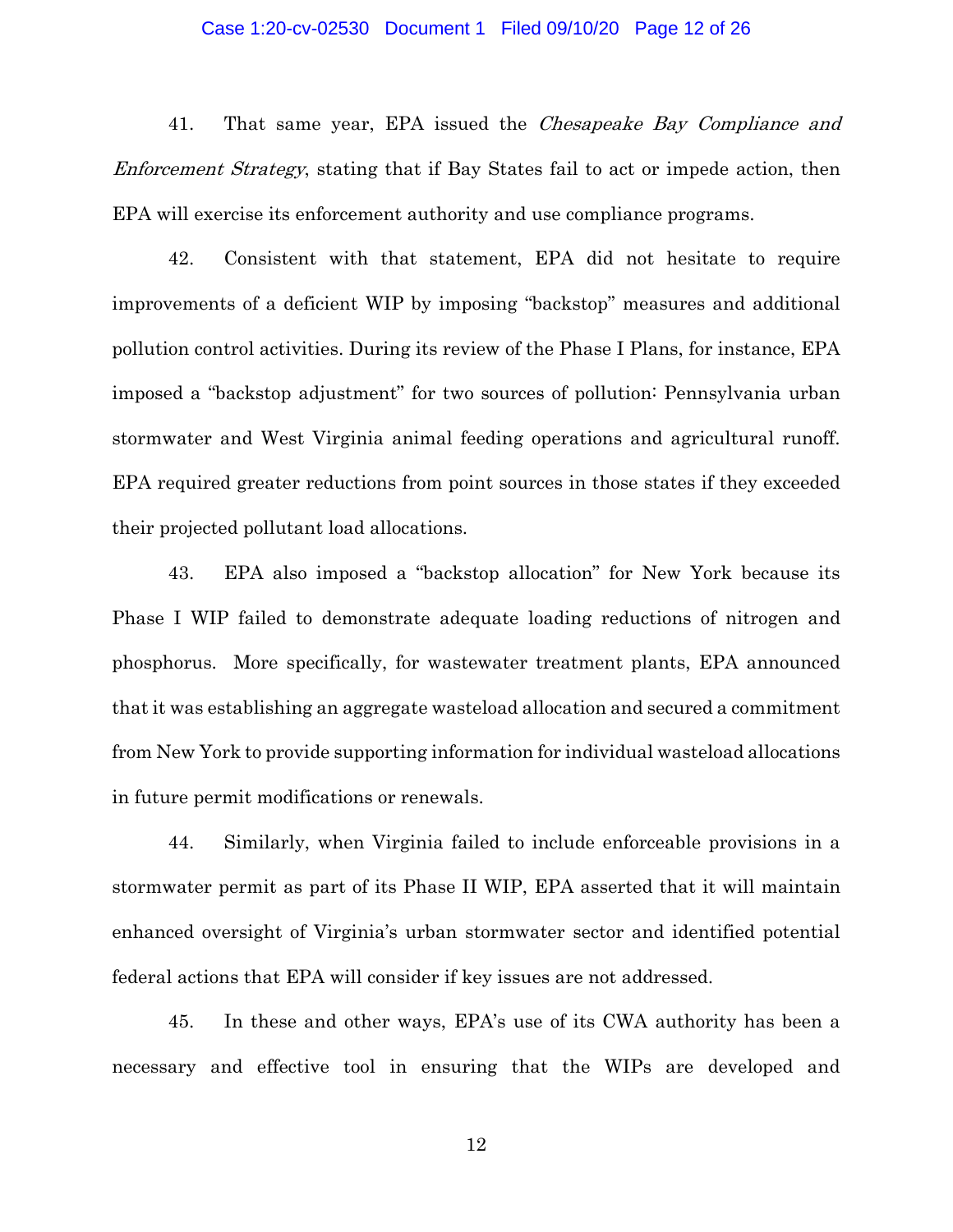### Case 1:20-cv-02530 Document 1 Filed 09/10/20 Page 12 of 26

41. That same year, EPA issued the *Chesapeake Bay Compliance and* Enforcement Strategy, stating that if Bay States fail to act or impede action, then EPA will exercise its enforcement authority and use compliance programs.

42. Consistent with that statement, EPA did not hesitate to require improvements of a deficient WIP by imposing "backstop" measures and additional pollution control activities. During its review of the Phase I Plans, for instance, EPA imposed a "backstop adjustment" for two sources of pollution: Pennsylvania urban stormwater and West Virginia animal feeding operations and agricultural runoff. EPA required greater reductions from point sources in those states if they exceeded their projected pollutant load allocations.

43. EPA also imposed a "backstop allocation" for New York because its Phase I WIP failed to demonstrate adequate loading reductions of nitrogen and phosphorus. More specifically, for wastewater treatment plants, EPA announced that it was establishing an aggregate wasteload allocation and secured a commitment from New York to provide supporting information for individual wasteload allocations in future permit modifications or renewals.

44. Similarly, when Virginia failed to include enforceable provisions in a stormwater permit as part of its Phase II WIP, EPA asserted that it will maintain enhanced oversight of Virginia's urban stormwater sector and identified potential federal actions that EPA will consider if key issues are not addressed.

45. In these and other ways, EPA's use of its CWA authority has been a necessary and effective tool in ensuring that the WIPs are developed and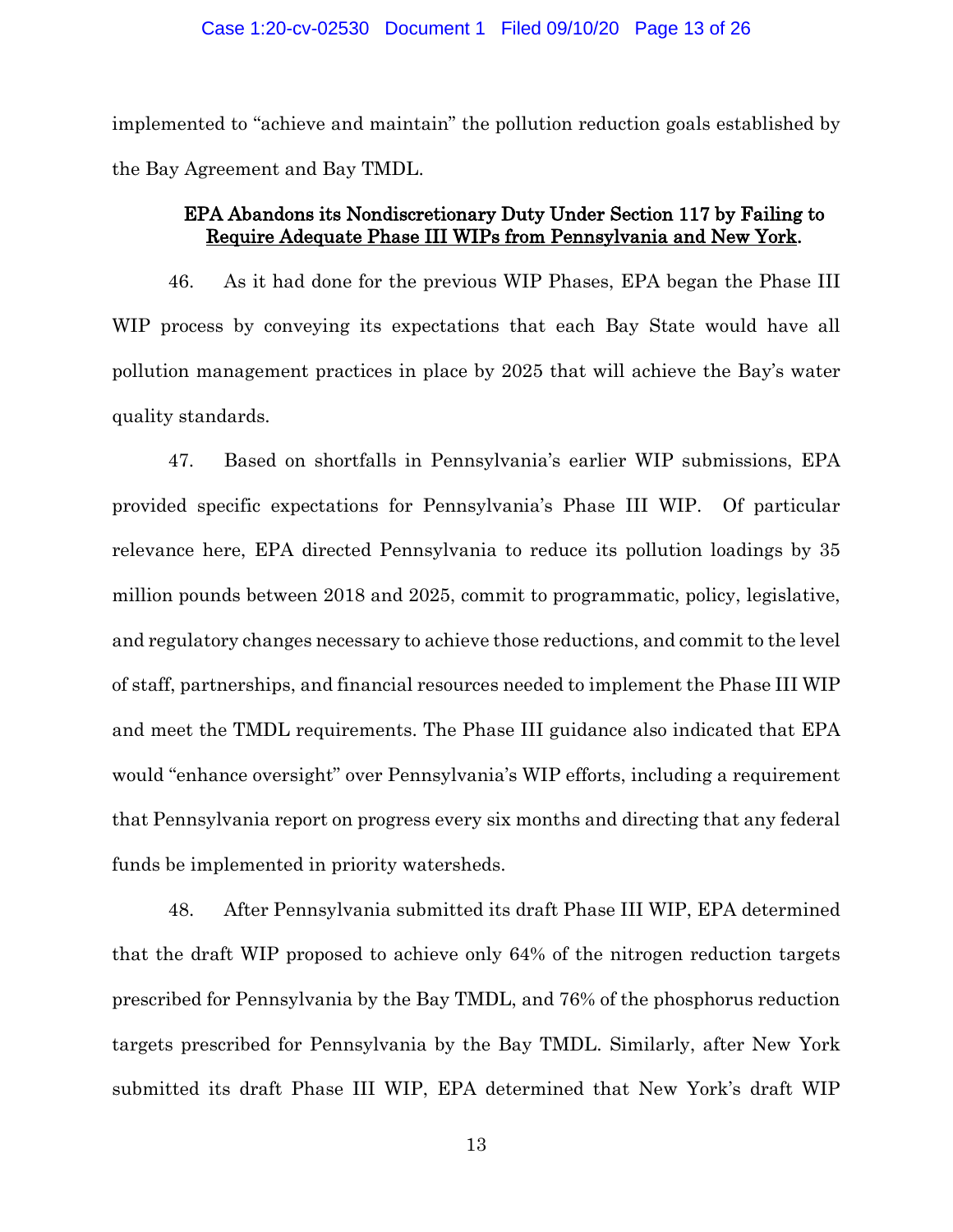implemented to "achieve and maintain" the pollution reduction goals established by the Bay Agreement and Bay TMDL.

# EPA Abandons its Nondiscretionary Duty Under Section 117 by Failing to Require Adequate Phase III WIPs from Pennsylvania and New York.

46. As it had done for the previous WIP Phases, EPA began the Phase III WIP process by conveying its expectations that each Bay State would have all pollution management practices in place by 2025 that will achieve the Bay's water quality standards.

47. Based on shortfalls in Pennsylvania's earlier WIP submissions, EPA provided specific expectations for Pennsylvania's Phase III WIP. Of particular relevance here, EPA directed Pennsylvania to reduce its pollution loadings by 35 million pounds between 2018 and 2025, commit to programmatic, policy, legislative, and regulatory changes necessary to achieve those reductions, and commit to the level of staff, partnerships, and financial resources needed to implement the Phase III WIP and meet the TMDL requirements. The Phase III guidance also indicated that EPA would "enhance oversight" over Pennsylvania's WIP efforts, including a requirement that Pennsylvania report on progress every six months and directing that any federal funds be implemented in priority watersheds.

48. After Pennsylvania submitted its draft Phase III WIP, EPA determined that the draft WIP proposed to achieve only 64% of the nitrogen reduction targets prescribed for Pennsylvania by the Bay TMDL, and 76% of the phosphorus reduction targets prescribed for Pennsylvania by the Bay TMDL. Similarly, after New York submitted its draft Phase III WIP, EPA determined that New York's draft WIP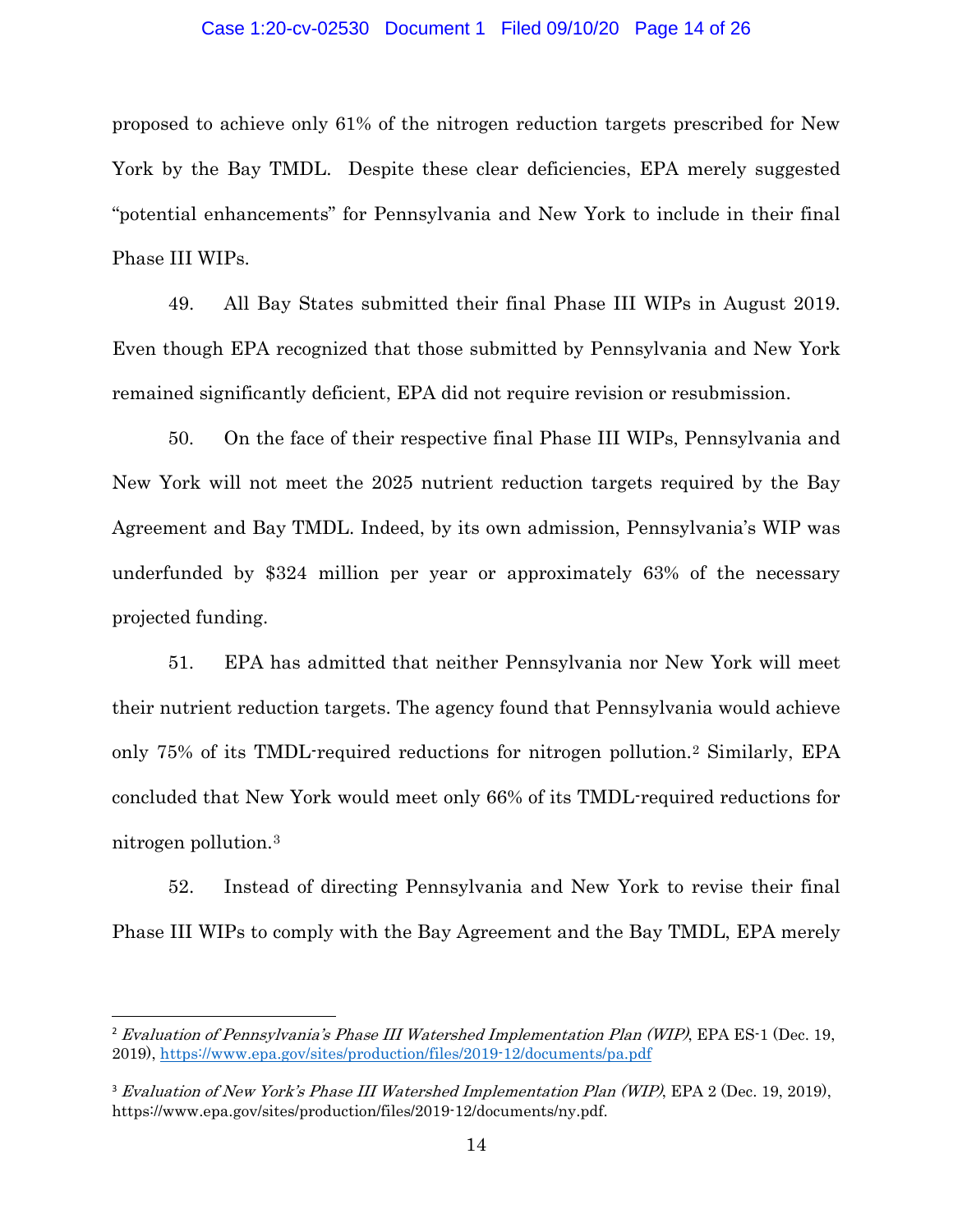### Case 1:20-cv-02530 Document 1 Filed 09/10/20 Page 14 of 26

proposed to achieve only 61% of the nitrogen reduction targets prescribed for New York by the Bay TMDL. Despite these clear deficiencies, EPA merely suggested "potential enhancements" for Pennsylvania and New York to include in their final Phase III WIPs.

49. All Bay States submitted their final Phase III WIPs in August 2019. Even though EPA recognized that those submitted by Pennsylvania and New York remained significantly deficient, EPA did not require revision or resubmission.

50. On the face of their respective final Phase III WIPs, Pennsylvania and New York will not meet the 2025 nutrient reduction targets required by the Bay Agreement and Bay TMDL. Indeed, by its own admission, Pennsylvania's WIP was underfunded by \$324 million per year or approximately 63% of the necessary projected funding.

51. EPA has admitted that neither Pennsylvania nor New York will meet their nutrient reduction targets. The agency found that Pennsylvania would achieve only 75% of its TMDL-required reductions for nitrogen pollution.[2](#page-13-0) Similarly, EPA concluded that New York would meet only 66% of its TMDL-required reductions for nitrogen pollution.[3](#page-13-1)

52. Instead of directing Pennsylvania and New York to revise their final Phase III WIPs to comply with the Bay Agreement and the Bay TMDL, EPA merely

<span id="page-13-0"></span><sup>&</sup>lt;sup>2</sup> Evaluation of Pennsylvania's Phase III Watershed Implementation Plan (WIP), EPA ES-1 (Dec. 19, 2019),<https://www.epa.gov/sites/production/files/2019-12/documents/pa.pdf>

<span id="page-13-1"></span><sup>&</sup>lt;sup>3</sup> Evaluation of New York's Phase III Watershed Implementation Plan (WIP), EPA 2 (Dec. 19, 2019), https://www.epa.gov/sites/production/files/2019-12/documents/ny.pdf.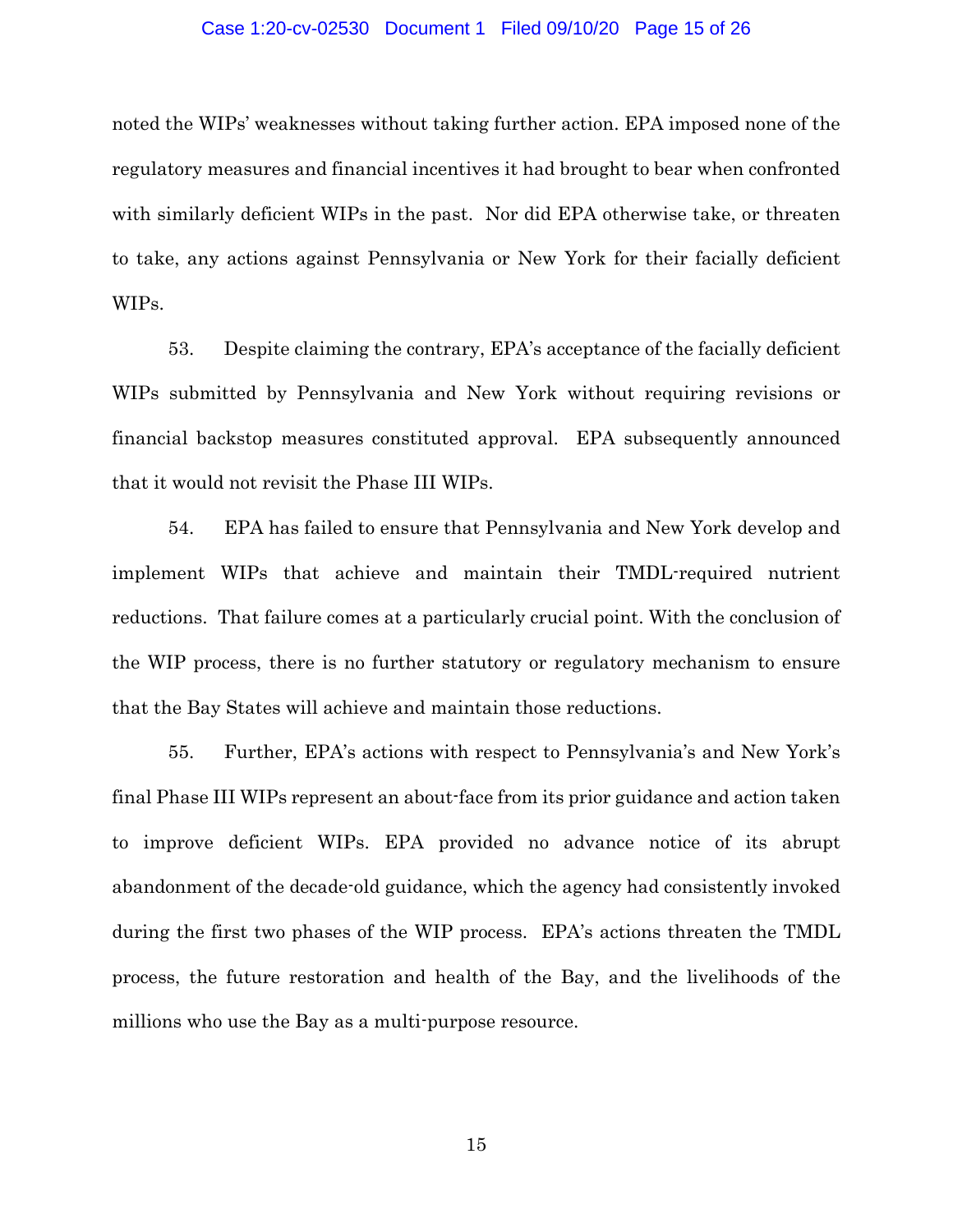#### Case 1:20-cv-02530 Document 1 Filed 09/10/20 Page 15 of 26

noted the WIPs' weaknesses without taking further action. EPA imposed none of the regulatory measures and financial incentives it had brought to bear when confronted with similarly deficient WIPs in the past. Nor did EPA otherwise take, or threaten to take, any actions against Pennsylvania or New York for their facially deficient WIPs.

53. Despite claiming the contrary, EPA's acceptance of the facially deficient WIPs submitted by Pennsylvania and New York without requiring revisions or financial backstop measures constituted approval. EPA subsequently announced that it would not revisit the Phase III WIPs.

54. EPA has failed to ensure that Pennsylvania and New York develop and implement WIPs that achieve and maintain their TMDL-required nutrient reductions. That failure comes at a particularly crucial point. With the conclusion of the WIP process, there is no further statutory or regulatory mechanism to ensure that the Bay States will achieve and maintain those reductions.

55. Further, EPA's actions with respect to Pennsylvania's and New York's final Phase III WIPs represent an about-face from its prior guidance and action taken to improve deficient WIPs. EPA provided no advance notice of its abrupt abandonment of the decade-old guidance, which the agency had consistently invoked during the first two phases of the WIP process. EPA's actions threaten the TMDL process, the future restoration and health of the Bay, and the livelihoods of the millions who use the Bay as a multi-purpose resource.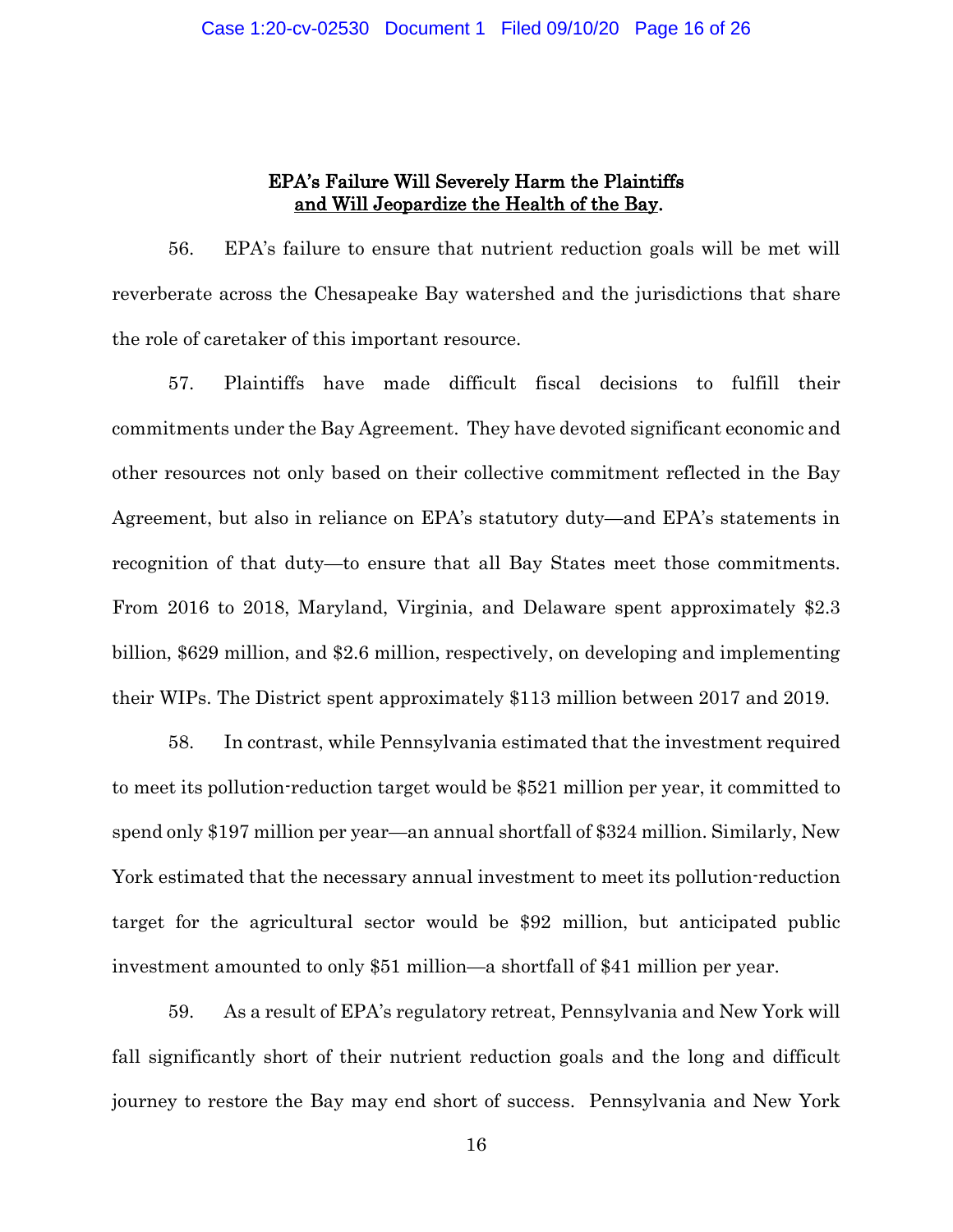# EPA's Failure Will Severely Harm the Plaintiffs and Will Jeopardize the Health of the Bay.

56. EPA's failure to ensure that nutrient reduction goals will be met will reverberate across the Chesapeake Bay watershed and the jurisdictions that share the role of caretaker of this important resource.

57. Plaintiffs have made difficult fiscal decisions to fulfill their commitments under the Bay Agreement. They have devoted significant economic and other resources not only based on their collective commitment reflected in the Bay Agreement, but also in reliance on EPA's statutory duty—and EPA's statements in recognition of that duty—to ensure that all Bay States meet those commitments. From 2016 to 2018, Maryland, Virginia, and Delaware spent approximately \$2.3 billion, \$629 million, and \$2.6 million, respectively, on developing and implementing their WIPs. The District spent approximately \$113 million between 2017 and 2019.

58. In contrast, while Pennsylvania estimated that the investment required to meet its pollution-reduction target would be \$521 million per year, it committed to spend only \$197 million per year—an annual shortfall of \$324 million. Similarly, New York estimated that the necessary annual investment to meet its pollution-reduction target for the agricultural sector would be \$92 million, but anticipated public investment amounted to only \$51 million—a shortfall of \$41 million per year.

59. As a result of EPA's regulatory retreat, Pennsylvania and New York will fall significantly short of their nutrient reduction goals and the long and difficult journey to restore the Bay may end short of success. Pennsylvania and New York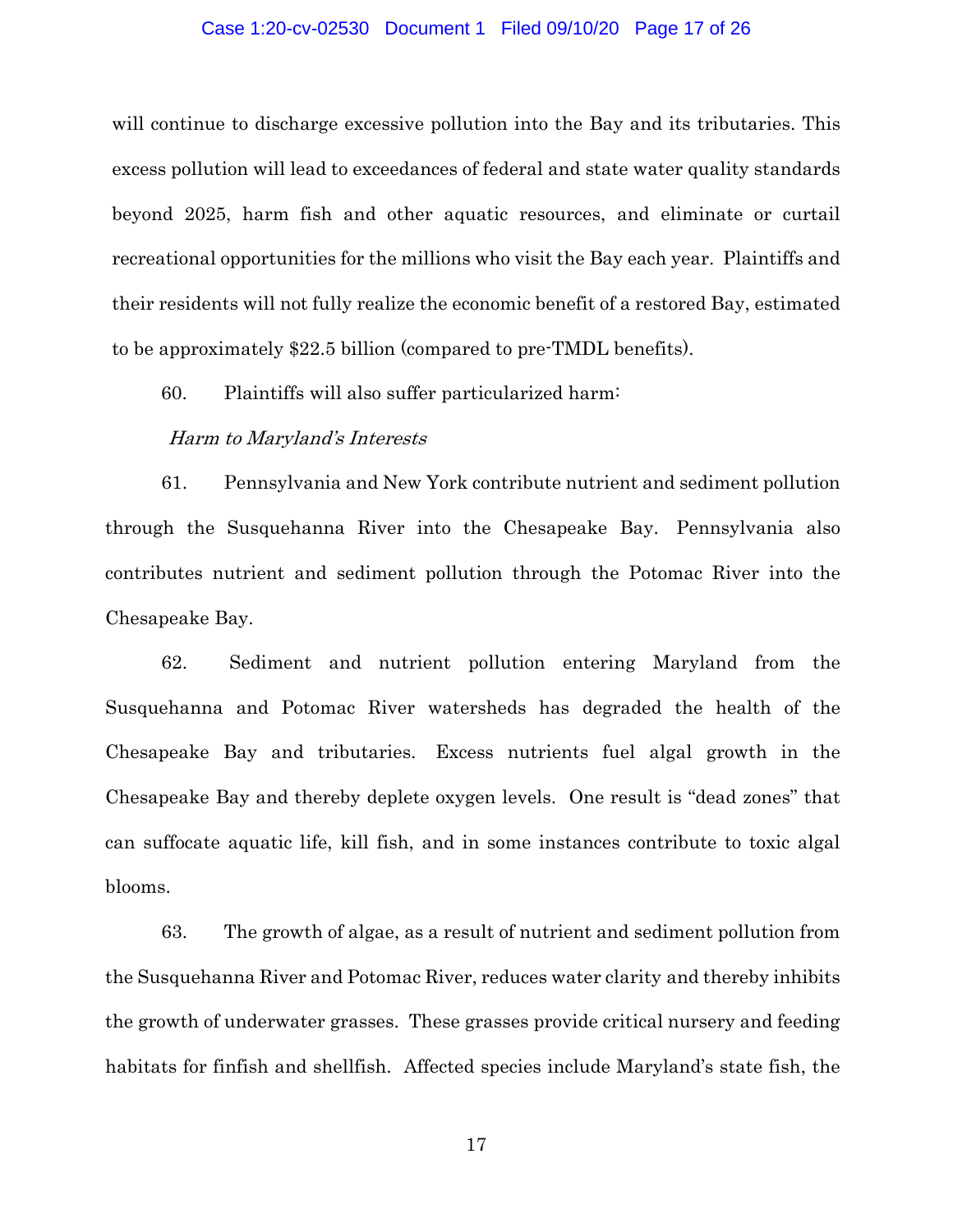### Case 1:20-cv-02530 Document 1 Filed 09/10/20 Page 17 of 26

will continue to discharge excessive pollution into the Bay and its tributaries. This excess pollution will lead to exceedances of federal and state water quality standards beyond 2025, harm fish and other aquatic resources, and eliminate or curtail recreational opportunities for the millions who visit the Bay each year. Plaintiffs and their residents will not fully realize the economic benefit of a restored Bay, estimated to be approximately \$22.5 billion (compared to pre-TMDL benefits).

60. Plaintiffs will also suffer particularized harm:

### Harm to Maryland's Interests

61. Pennsylvania and New York contribute nutrient and sediment pollution through the Susquehanna River into the Chesapeake Bay. Pennsylvania also contributes nutrient and sediment pollution through the Potomac River into the Chesapeake Bay.

62. Sediment and nutrient pollution entering Maryland from the Susquehanna and Potomac River watersheds has degraded the health of the Chesapeake Bay and tributaries. Excess nutrients fuel algal growth in the Chesapeake Bay and thereby deplete oxygen levels. One result is "dead zones" that can suffocate aquatic life, kill fish, and in some instances contribute to toxic algal blooms.

63. The growth of algae, as a result of nutrient and sediment pollution from the Susquehanna River and Potomac River, reduces water clarity and thereby inhibits the growth of underwater grasses. These grasses provide critical nursery and feeding habitats for finfish and shellfish. Affected species include Maryland's state fish, the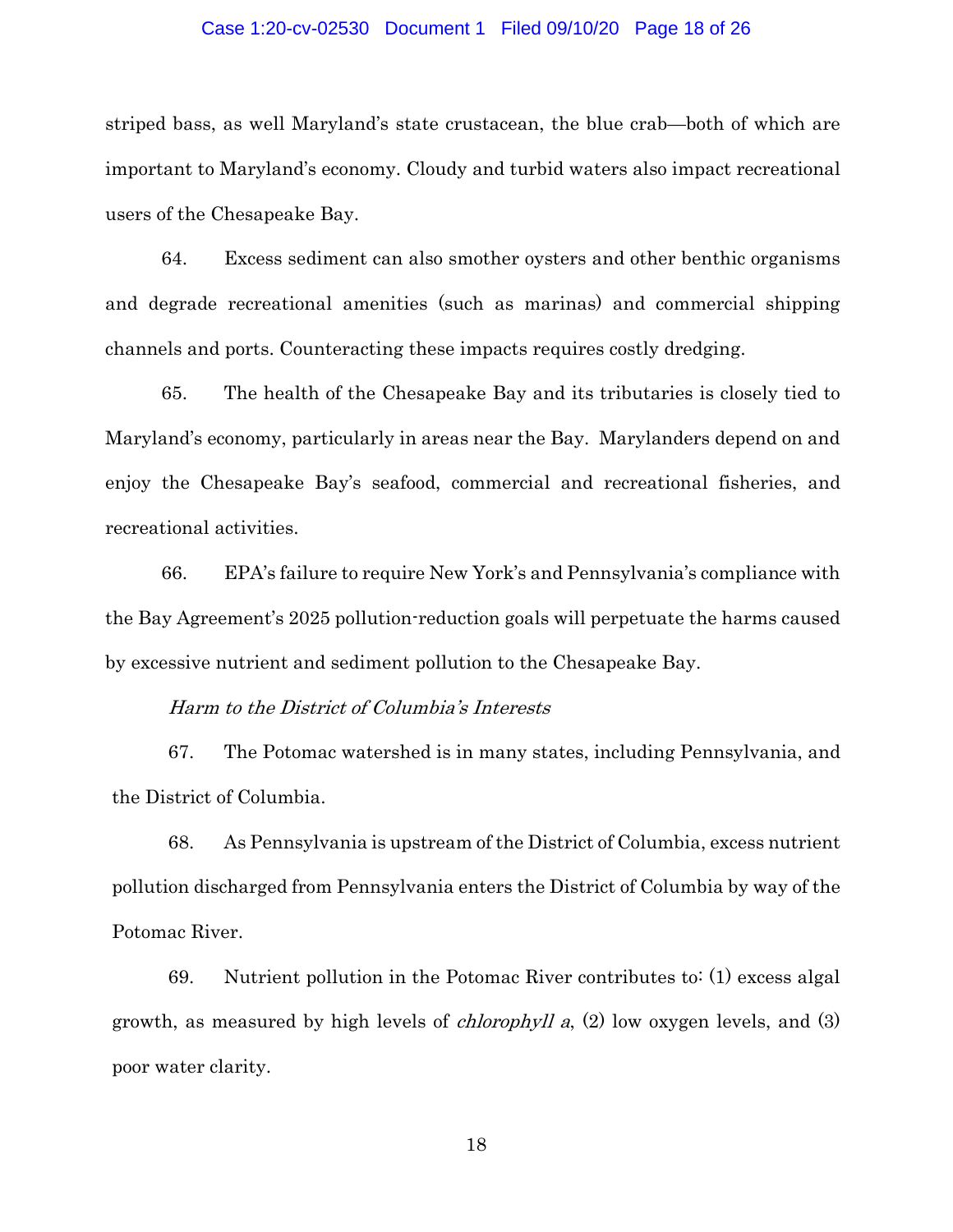### Case 1:20-cv-02530 Document 1 Filed 09/10/20 Page 18 of 26

striped bass, as well Maryland's state crustacean, the blue crab—both of which are important to Maryland's economy. Cloudy and turbid waters also impact recreational users of the Chesapeake Bay.

64. Excess sediment can also smother oysters and other benthic organisms and degrade recreational amenities (such as marinas) and commercial shipping channels and ports. Counteracting these impacts requires costly dredging.

65. The health of the Chesapeake Bay and its tributaries is closely tied to Maryland's economy, particularly in areas near the Bay. Marylanders depend on and enjoy the Chesapeake Bay's seafood, commercial and recreational fisheries, and recreational activities.

66. EPA's failure to require New York's and Pennsylvania's compliance with the Bay Agreement's 2025 pollution-reduction goals will perpetuate the harms caused by excessive nutrient and sediment pollution to the Chesapeake Bay.

### Harm to the District of Columbia's Interests

67. The Potomac watershed is in many states, including Pennsylvania, and the District of Columbia.

68. As Pennsylvania is upstream of the District of Columbia, excess nutrient pollution discharged from Pennsylvania enters the District of Columbia by way of the Potomac River.

69. Nutrient pollution in the Potomac River contributes to: (1) excess algal growth, as measured by high levels of *chlorophyll a*,  $(2)$  low oxygen levels, and  $(3)$ poor water clarity.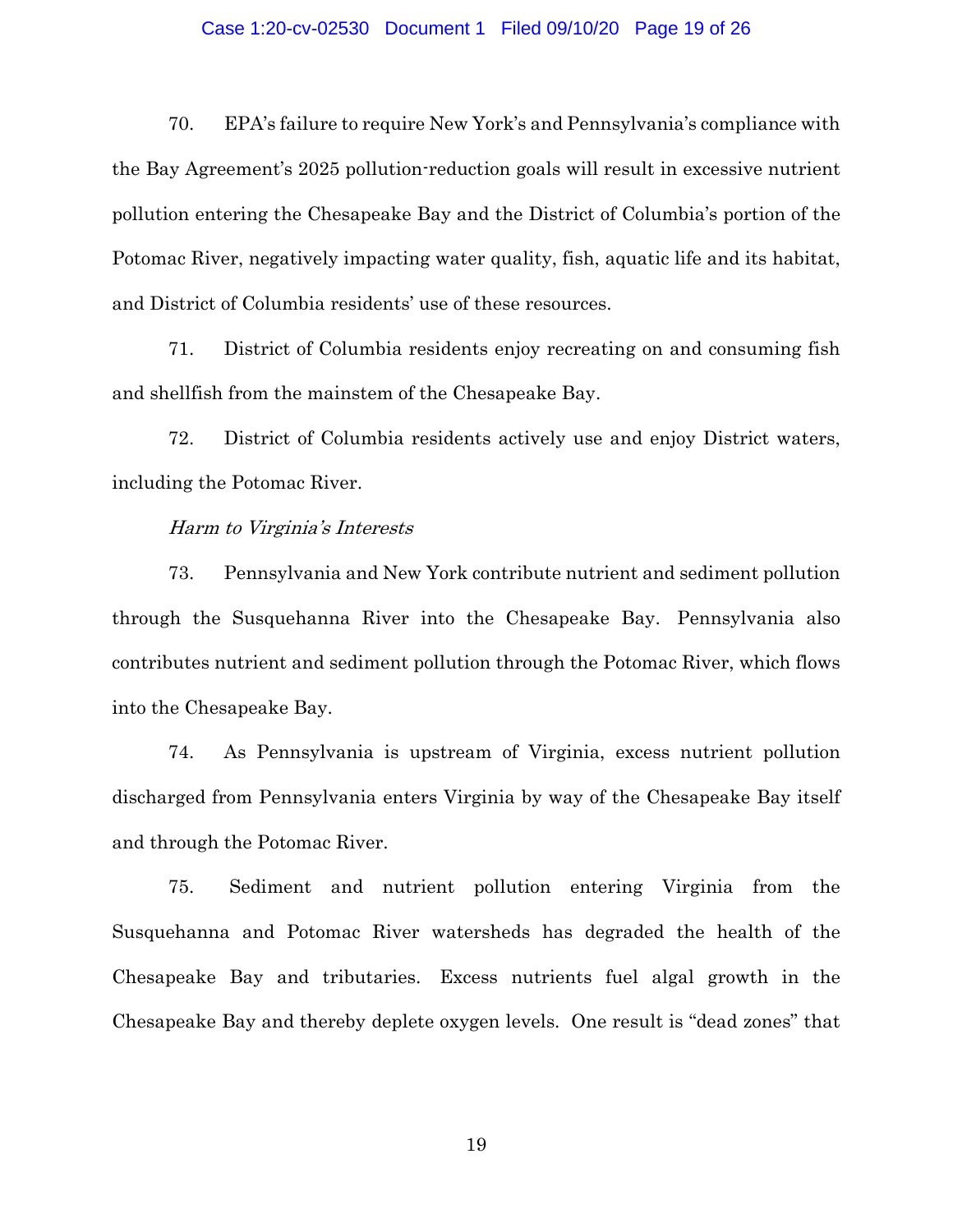#### Case 1:20-cv-02530 Document 1 Filed 09/10/20 Page 19 of 26

70. EPA's failure to require New York's and Pennsylvania's compliance with the Bay Agreement's 2025 pollution-reduction goals will result in excessive nutrient pollution entering the Chesapeake Bay and the District of Columbia's portion of the Potomac River, negatively impacting water quality, fish, aquatic life and its habitat, and District of Columbia residents' use of these resources.

71. District of Columbia residents enjoy recreating on and consuming fish and shellfish from the mainstem of the Chesapeake Bay.

72. District of Columbia residents actively use and enjoy District waters, including the Potomac River.

### Harm to Virginia's Interests

73. Pennsylvania and New York contribute nutrient and sediment pollution through the Susquehanna River into the Chesapeake Bay. Pennsylvania also contributes nutrient and sediment pollution through the Potomac River, which flows into the Chesapeake Bay.

74. As Pennsylvania is upstream of Virginia, excess nutrient pollution discharged from Pennsylvania enters Virginia by way of the Chesapeake Bay itself and through the Potomac River.

75. Sediment and nutrient pollution entering Virginia from the Susquehanna and Potomac River watersheds has degraded the health of the Chesapeake Bay and tributaries. Excess nutrients fuel algal growth in the Chesapeake Bay and thereby deplete oxygen levels. One result is "dead zones" that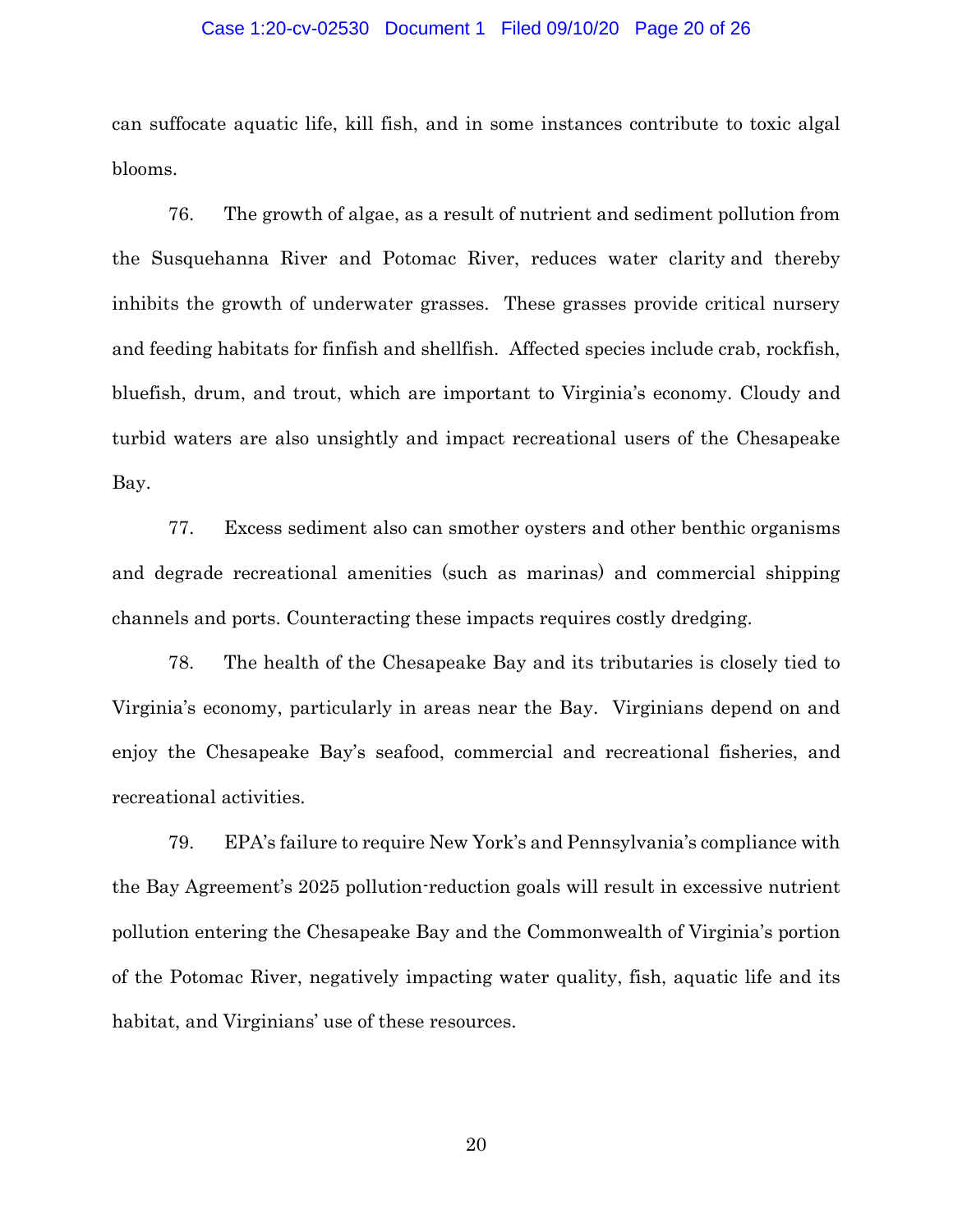#### Case 1:20-cv-02530 Document 1 Filed 09/10/20 Page 20 of 26

can suffocate aquatic life, kill fish, and in some instances contribute to toxic algal blooms.

76. The growth of algae, as a result of nutrient and sediment pollution from the Susquehanna River and Potomac River, reduces water clarity and thereby inhibits the growth of underwater grasses. These grasses provide critical nursery and feeding habitats for finfish and shellfish. Affected species include crab, rockfish, bluefish, drum, and trout, which are important to Virginia's economy. Cloudy and turbid waters are also unsightly and impact recreational users of the Chesapeake Bay.

77. Excess sediment also can smother oysters and other benthic organisms and degrade recreational amenities (such as marinas) and commercial shipping channels and ports. Counteracting these impacts requires costly dredging.

78. The health of the Chesapeake Bay and its tributaries is closely tied to Virginia's economy, particularly in areas near the Bay. Virginians depend on and enjoy the Chesapeake Bay's seafood, commercial and recreational fisheries, and recreational activities.

79. EPA's failure to require New York's and Pennsylvania's compliance with the Bay Agreement's 2025 pollution-reduction goals will result in excessive nutrient pollution entering the Chesapeake Bay and the Commonwealth of Virginia's portion of the Potomac River, negatively impacting water quality, fish, aquatic life and its habitat, and Virginians' use of these resources.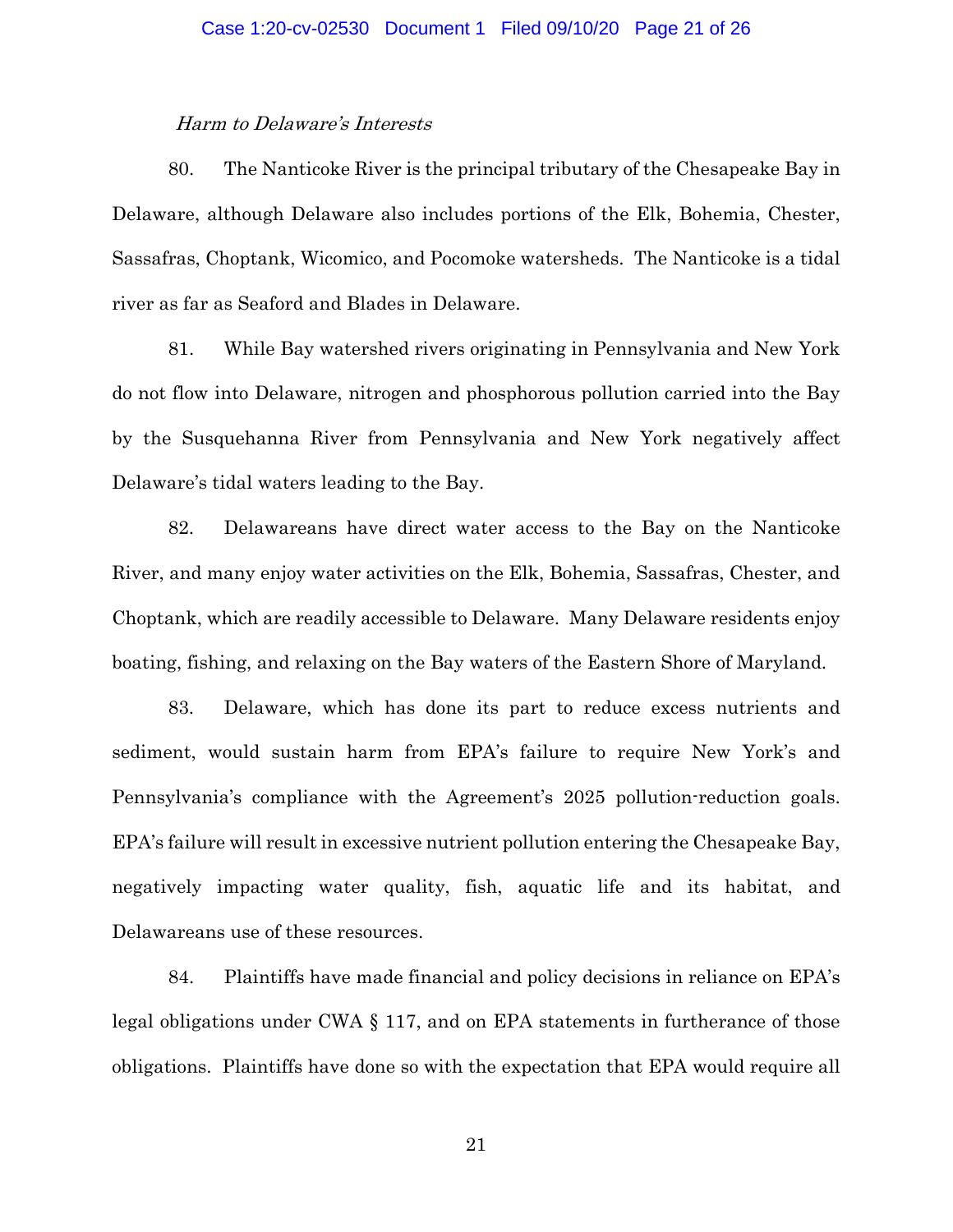### Harm to Delaware's Interests

80. The Nanticoke River is the principal tributary of the Chesapeake Bay in Delaware, although Delaware also includes portions of the Elk, Bohemia, Chester, Sassafras, Choptank, Wicomico, and Pocomoke watersheds. The Nanticoke is a tidal river as far as Seaford and Blades in Delaware.

81. While Bay watershed rivers originating in Pennsylvania and New York do not flow into Delaware, nitrogen and phosphorous pollution carried into the Bay by the Susquehanna River from Pennsylvania and New York negatively affect Delaware's tidal waters leading to the Bay.

82. Delawareans have direct water access to the Bay on the Nanticoke River, and many enjoy water activities on the Elk, Bohemia, Sassafras, Chester, and Choptank, which are readily accessible to Delaware. Many Delaware residents enjoy boating, fishing, and relaxing on the Bay waters of the Eastern Shore of Maryland.

83. Delaware, which has done its part to reduce excess nutrients and sediment, would sustain harm from EPA's failure to require New York's and Pennsylvania's compliance with the Agreement's 2025 pollution-reduction goals. EPA's failure will result in excessive nutrient pollution entering the Chesapeake Bay, negatively impacting water quality, fish, aquatic life and its habitat, and Delawareans use of these resources.

84. Plaintiffs have made financial and policy decisions in reliance on EPA's legal obligations under CWA § 117, and on EPA statements in furtherance of those obligations. Plaintiffs have done so with the expectation that EPA would require all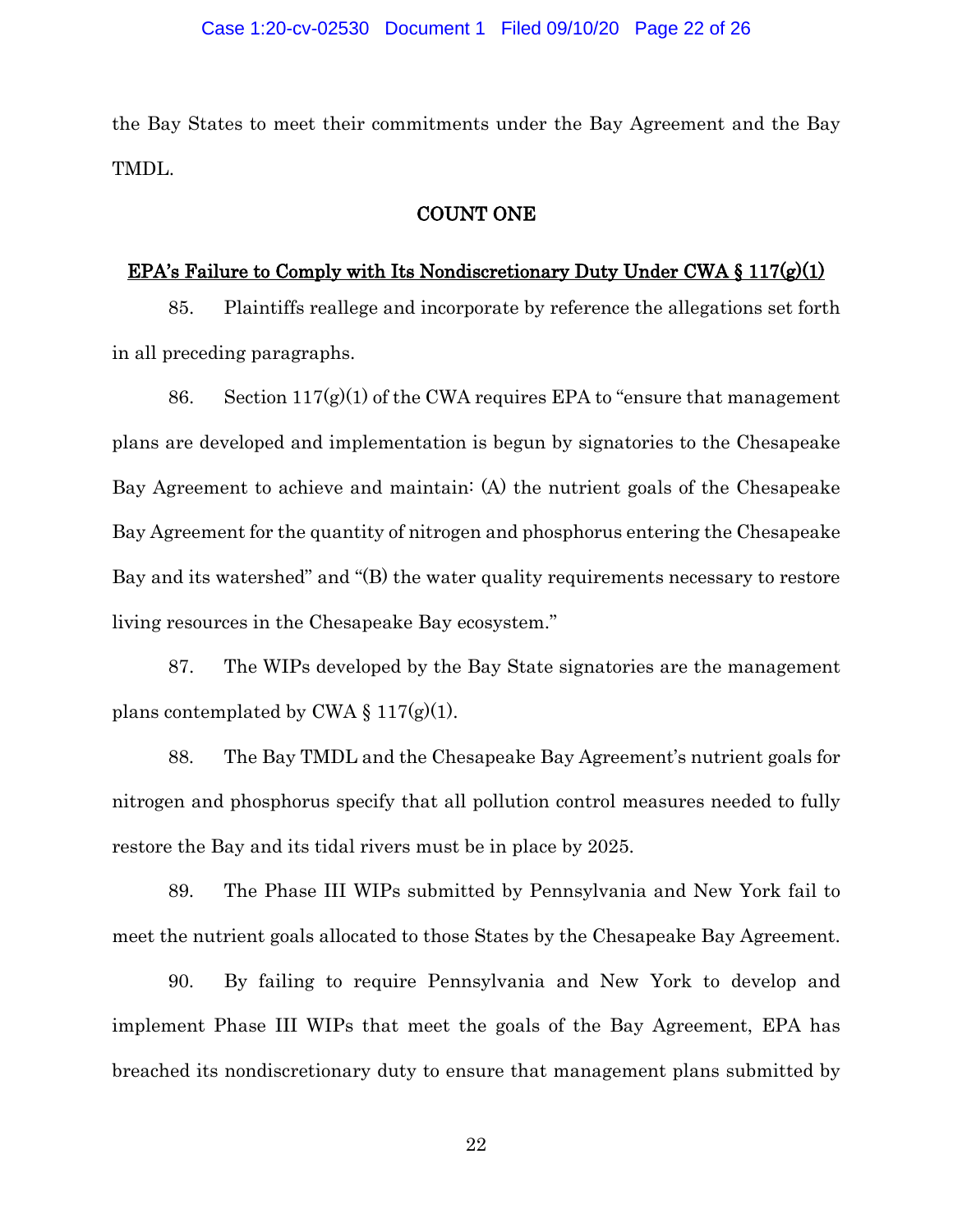the Bay States to meet their commitments under the Bay Agreement and the Bay TMDL.

### COUNT ONE

# EPA's Failure to Comply with Its Nondiscretionary Duty Under CWA  $\S 117(g)(1)$

85. Plaintiffs reallege and incorporate by reference the allegations set forth in all preceding paragraphs.

86. Section  $117(g)(1)$  of the CWA requires EPA to "ensure that management" plans are developed and implementation is begun by signatories to the Chesapeake Bay Agreement to achieve and maintain: (A) the nutrient goals of the Chesapeake Bay Agreement for the quantity of nitrogen and phosphorus entering the Chesapeake Bay and its watershed" and "(B) the water quality requirements necessary to restore living resources in the Chesapeake Bay ecosystem."

87. The WIPs developed by the Bay State signatories are the management plans contemplated by CWA  $\S 117(g)(1)$ .

88. The Bay TMDL and the Chesapeake Bay Agreement's nutrient goals for nitrogen and phosphorus specify that all pollution control measures needed to fully restore the Bay and its tidal rivers must be in place by 2025.

89. The Phase III WIPs submitted by Pennsylvania and New York fail to meet the nutrient goals allocated to those States by the Chesapeake Bay Agreement.

90. By failing to require Pennsylvania and New York to develop and implement Phase III WIPs that meet the goals of the Bay Agreement, EPA has breached its nondiscretionary duty to ensure that management plans submitted by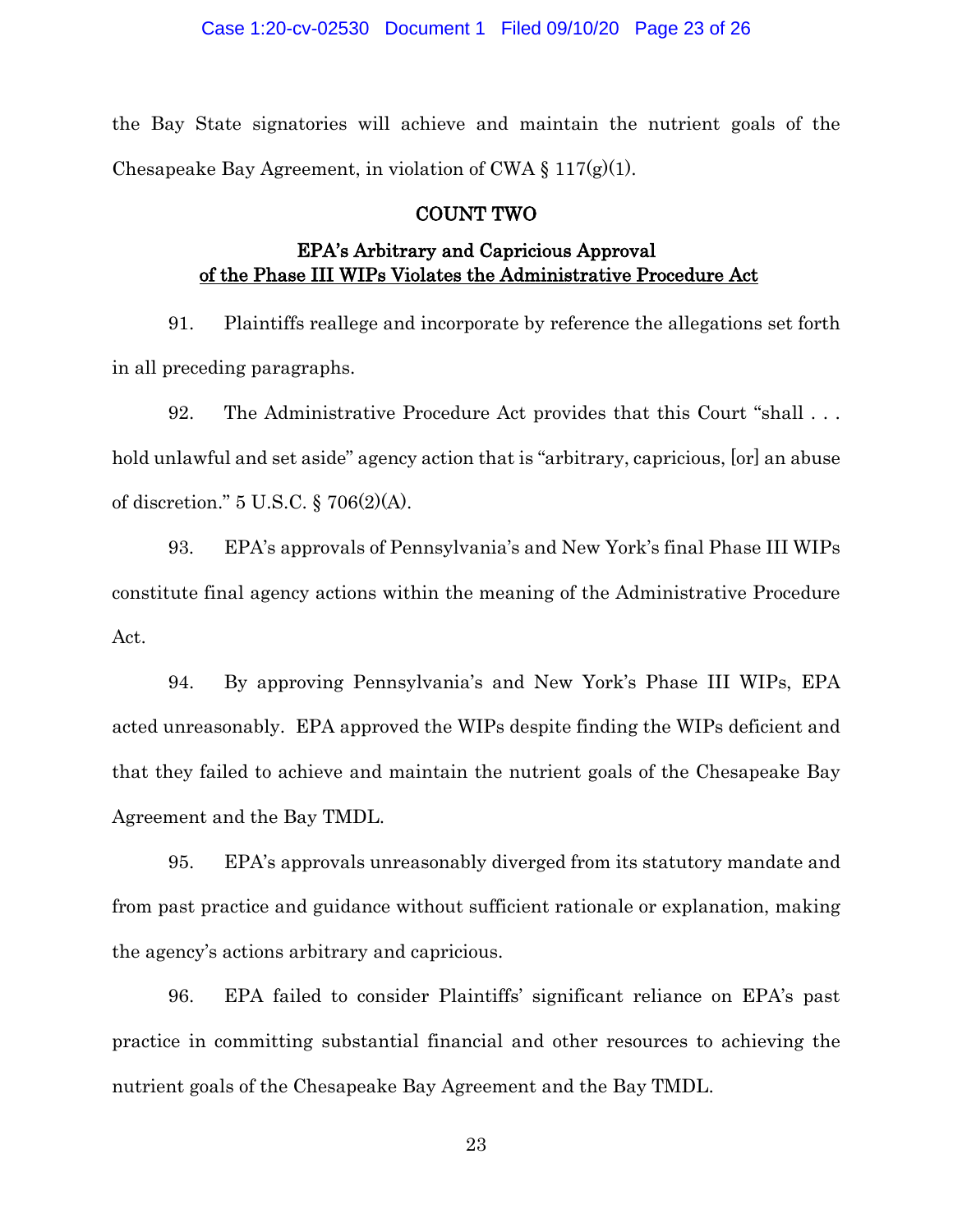the Bay State signatories will achieve and maintain the nutrient goals of the Chesapeake Bay Agreement, in violation of CWA  $\S 117(g)(1)$ .

### COUNT TWO

# EPA's Arbitrary and Capricious Approval of the Phase III WIPs Violates the Administrative Procedure Act

91. Plaintiffs reallege and incorporate by reference the allegations set forth in all preceding paragraphs.

92. The Administrative Procedure Act provides that this Court "shall . . . hold unlawful and set aside" agency action that is "arbitrary, capricious, [or] an abuse of discretion." 5 U.S.C. § 706(2)(A).

93. EPA's approvals of Pennsylvania's and New York's final Phase III WIPs constitute final agency actions within the meaning of the Administrative Procedure Act.

94. By approving Pennsylvania's and New York's Phase III WIPs, EPA acted unreasonably. EPA approved the WIPs despite finding the WIPs deficient and that they failed to achieve and maintain the nutrient goals of the Chesapeake Bay Agreement and the Bay TMDL.

95. EPA's approvals unreasonably diverged from its statutory mandate and from past practice and guidance without sufficient rationale or explanation, making the agency's actions arbitrary and capricious.

96. EPA failed to consider Plaintiffs' significant reliance on EPA's past practice in committing substantial financial and other resources to achieving the nutrient goals of the Chesapeake Bay Agreement and the Bay TMDL.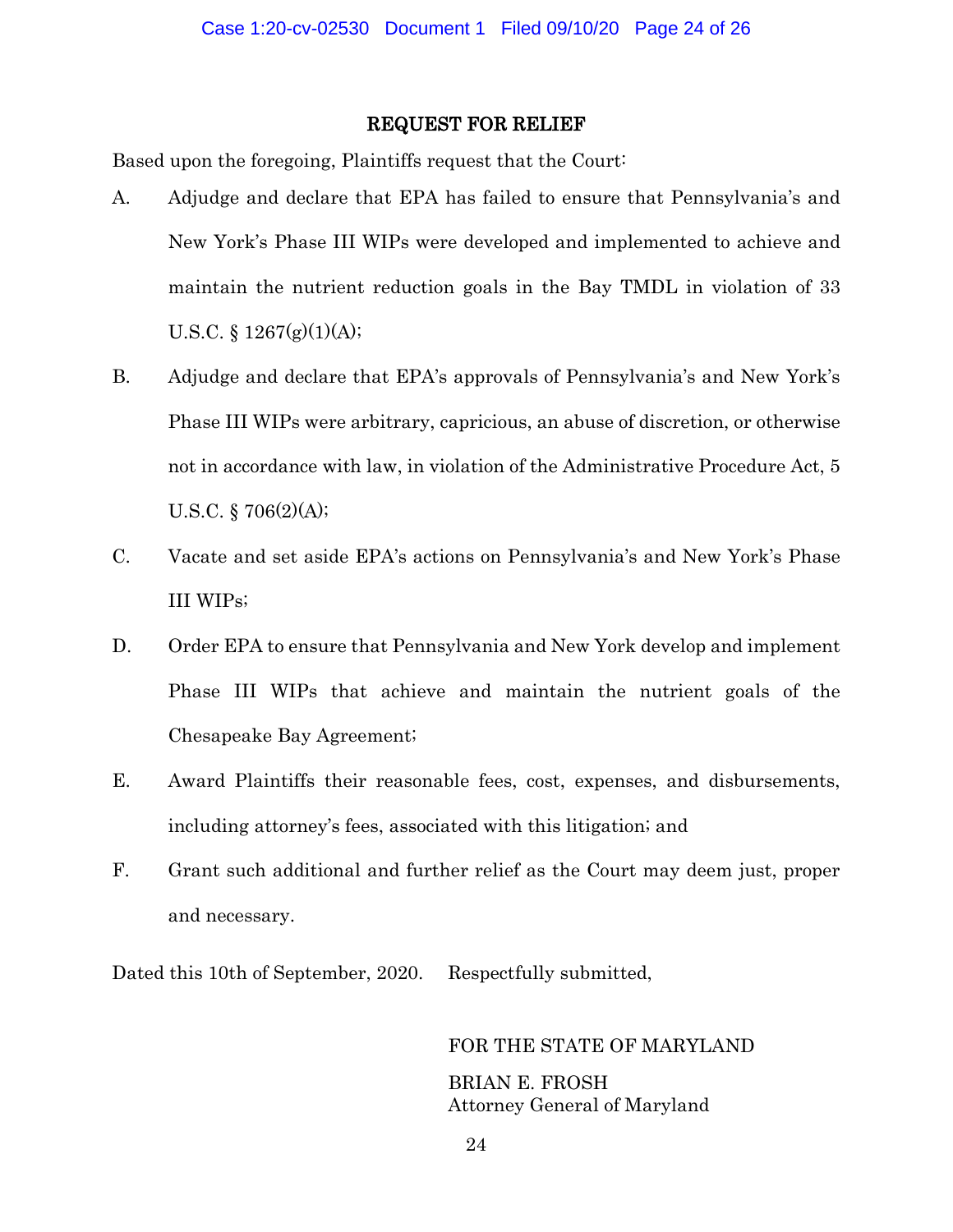### REQUEST FOR RELIEF

Based upon the foregoing, Plaintiffs request that the Court:

- A. Adjudge and declare that EPA has failed to ensure that Pennsylvania's and New York's Phase III WIPs were developed and implemented to achieve and maintain the nutrient reduction goals in the Bay TMDL in violation of 33 U.S.C.  $\S 1267(g)(1)(A);$
- B. Adjudge and declare that EPA's approvals of Pennsylvania's and New York's Phase III WIPs were arbitrary, capricious, an abuse of discretion, or otherwise not in accordance with law, in violation of the Administrative Procedure Act, 5 U.S.C. § 706(2)(A);
- C. Vacate and set aside EPA's actions on Pennsylvania's and New York's Phase III WIPs;
- D. Order EPA to ensure that Pennsylvania and New York develop and implement Phase III WIPs that achieve and maintain the nutrient goals of the Chesapeake Bay Agreement;
- E. Award Plaintiffs their reasonable fees, cost, expenses, and disbursements, including attorney's fees, associated with this litigation; and
- F. Grant such additional and further relief as the Court may deem just, proper and necessary.

Dated this 10th of September, 2020. Respectfully submitted,

FOR THE STATE OF MARYLAND BRIAN E. FROSH Attorney General of Maryland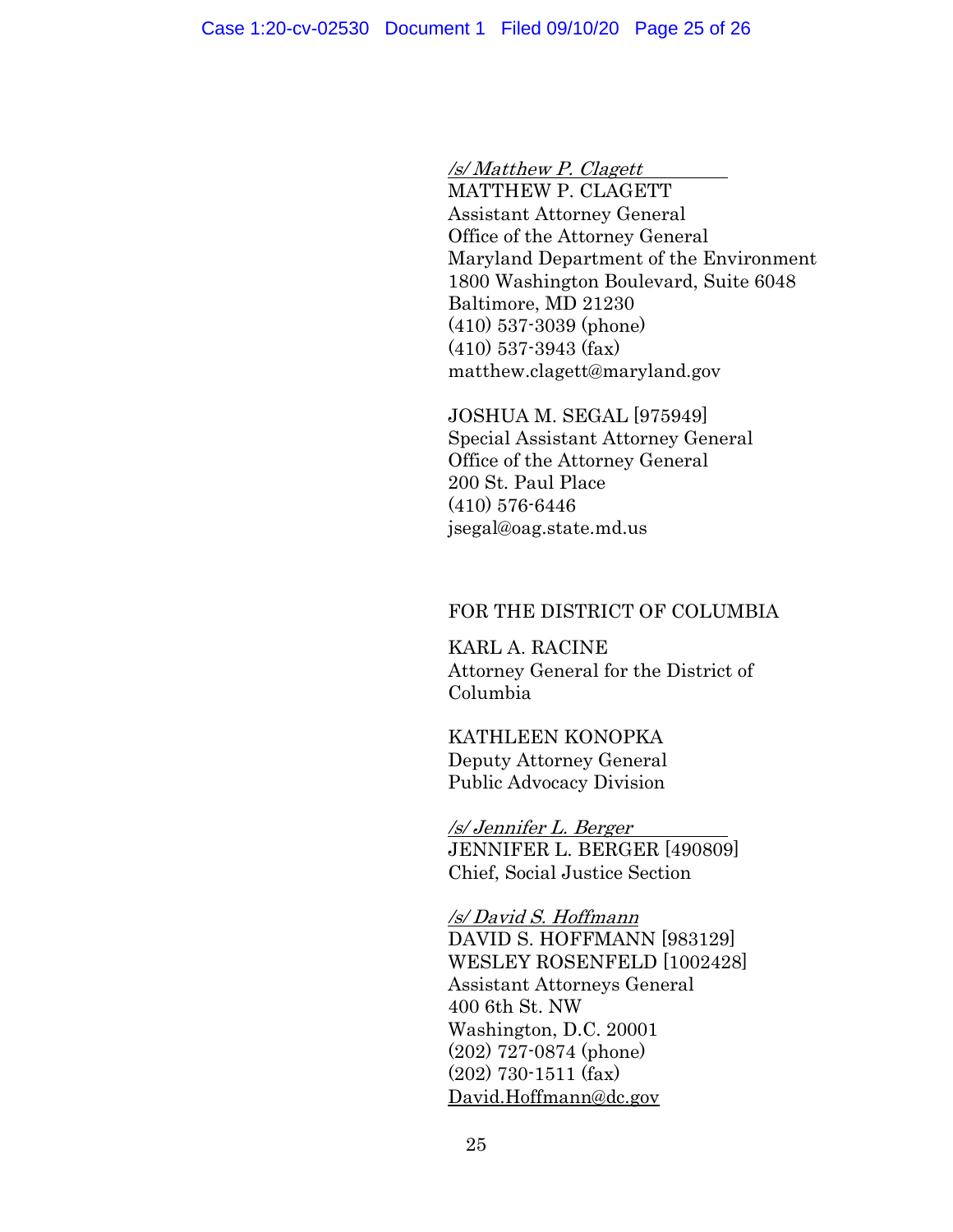/s/ Matthew P. Clagett

MATTHEW P. CLAGETT Assistant Attorney General Office of the Attorney General Maryland Department of the Environment 1800 Washington Boulevard, Suite 6048 Baltimore, MD 21230 (410) 537-3039 (phone) (410) 537-3943 (fax) matthew.clagett@maryland.gov

JOSHUA M. SEGAL [975949] Special Assistant Attorney General Office of the Attorney General 200 St. Paul Place (410) 576-6446 jsegal@oag.state.md.us

### FOR THE DISTRICT OF COLUMBIA

KARL A. RACINE Attorney General for the District of Columbia

KATHLEEN KONOPKA Deputy Attorney General Public Advocacy Division

/s/ Jennifer L. Berger JENNIFER L. BERGER [490809] Chief, Social Justice Section

/s/ David S. Hoffmann DAVID S. HOFFMANN [983129] WESLEY ROSENFELD [1002428] Assistant Attorneys General 400 6th St. NW Washington, D.C. 20001 (202) 727-0874 (phone) (202) 730-1511 (fax) [David.Hoffmann@dc.gov](mailto:David.Hoffmann@dc.gov)